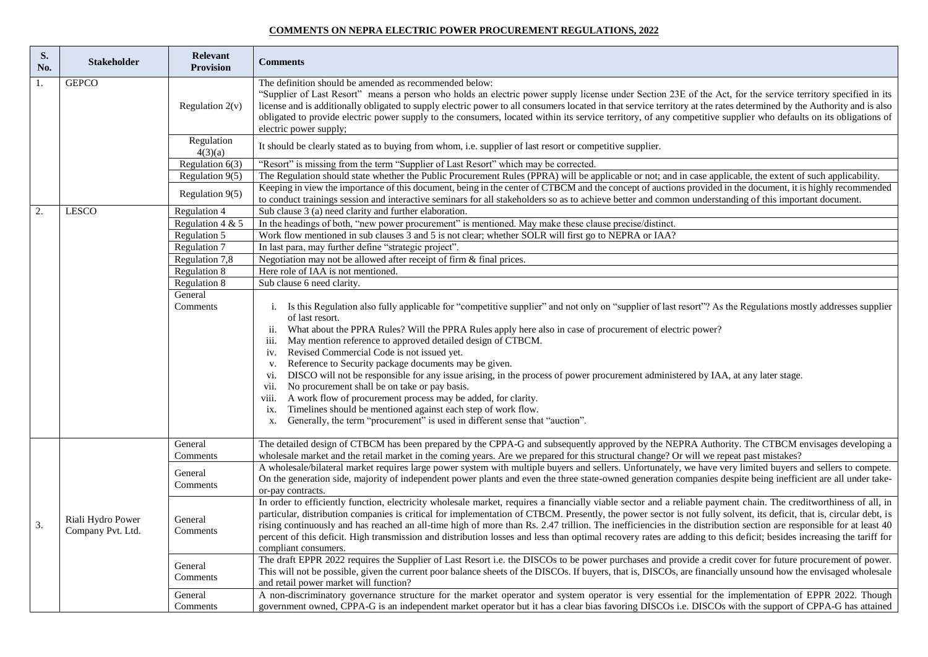## **COMMENTS ON NEPRA ELECTRIC POWER PROCUREMENT REGULATIONS, 2022**

| S.<br>No.        | <b>Stakeholder</b>                     | <b>Relevant</b><br><b>Provision</b>    | <b>Comments</b>                                                                                                                                                                                                                                                                                                                                                                                                                                                                                                                                                                                                                                                                                                                                                                                                                                                                                                                           |
|------------------|----------------------------------------|----------------------------------------|-------------------------------------------------------------------------------------------------------------------------------------------------------------------------------------------------------------------------------------------------------------------------------------------------------------------------------------------------------------------------------------------------------------------------------------------------------------------------------------------------------------------------------------------------------------------------------------------------------------------------------------------------------------------------------------------------------------------------------------------------------------------------------------------------------------------------------------------------------------------------------------------------------------------------------------------|
| 1.               | <b>GEPCO</b>                           | Regulation $2(v)$                      | The definition should be amended as recommended below:<br>"Supplier of Last Resort" means a person who holds an electric power supply license under Section 23E of the Act, for the service territory specified in its<br>license and is additionally obligated to supply electric power to all consumers located in that service territory at the rates determined by the Authority and is also<br>obligated to provide electric power supply to the consumers, located within its service territory, of any competitive supplier who defaults on its obligations of<br>electric power supply;                                                                                                                                                                                                                                                                                                                                           |
|                  |                                        | Regulation<br>4(3)(a)                  | It should be clearly stated as to buying from whom, i.e. supplier of last resort or competitive supplier.                                                                                                                                                                                                                                                                                                                                                                                                                                                                                                                                                                                                                                                                                                                                                                                                                                 |
|                  |                                        | Regulation $6(3)$<br>Regulation $9(5)$ | "Resort" is missing from the term "Supplier of Last Resort" which may be corrected.<br>The Regulation should state whether the Public Procurement Rules (PPRA) will be applicable or not; and in case applicable, the extent of such applicability.                                                                                                                                                                                                                                                                                                                                                                                                                                                                                                                                                                                                                                                                                       |
|                  |                                        | Regulation 9(5)                        | Keeping in view the importance of this document, being in the center of CTBCM and the concept of auctions provided in the document, it is highly recommended<br>to conduct trainings session and interactive seminars for all stakeholders so as to achieve better and common understanding of this important document.                                                                                                                                                                                                                                                                                                                                                                                                                                                                                                                                                                                                                   |
| $\overline{2}$ . | <b>LESCO</b>                           | <b>Regulation 4</b>                    | Sub clause 3 (a) need clarity and further elaboration.                                                                                                                                                                                                                                                                                                                                                                                                                                                                                                                                                                                                                                                                                                                                                                                                                                                                                    |
|                  |                                        | Regulation 4 & $5$                     | In the headings of both, "new power procurement" is mentioned. May make these clause precise/distinct.                                                                                                                                                                                                                                                                                                                                                                                                                                                                                                                                                                                                                                                                                                                                                                                                                                    |
|                  |                                        | Regulation 5                           | Work flow mentioned in sub clauses 3 and 5 is not clear; whether SOLR will first go to NEPRA or IAA?                                                                                                                                                                                                                                                                                                                                                                                                                                                                                                                                                                                                                                                                                                                                                                                                                                      |
|                  |                                        | Regulation 7                           | In last para, may further define "strategic project".                                                                                                                                                                                                                                                                                                                                                                                                                                                                                                                                                                                                                                                                                                                                                                                                                                                                                     |
|                  |                                        | Regulation 7,8                         | Negotiation may not be allowed after receipt of firm & final prices.                                                                                                                                                                                                                                                                                                                                                                                                                                                                                                                                                                                                                                                                                                                                                                                                                                                                      |
|                  |                                        | Regulation 8                           | Here role of IAA is not mentioned.                                                                                                                                                                                                                                                                                                                                                                                                                                                                                                                                                                                                                                                                                                                                                                                                                                                                                                        |
|                  |                                        | Regulation 8                           | Sub clause 6 need clarity.                                                                                                                                                                                                                                                                                                                                                                                                                                                                                                                                                                                                                                                                                                                                                                                                                                                                                                                |
|                  |                                        | General<br>Comments                    | i. Is this Regulation also fully applicable for "competitive supplier" and not only on "supplier of last resort"? As the Regulations mostly addresses supplier<br>of last resort.<br>What about the PPRA Rules? Will the PPRA Rules apply here also in case of procurement of electric power?<br>ii.<br>May mention reference to approved detailed design of CTBCM.<br>111.<br>iv. Revised Commercial Code is not issued yet.<br>Reference to Security package documents may be given.<br>V.<br>DISCO will not be responsible for any issue arising, in the process of power procurement administered by IAA, at any later stage.<br>V1.<br>No procurement shall be on take or pay basis.<br>V11.<br>A work flow of procurement process may be added, for clarity.<br>VIII.<br>Timelines should be mentioned against each step of work flow.<br>ix.<br>Generally, the term "procurement" is used in different sense that "auction".<br>X. |
|                  |                                        | General<br>Comments                    | The detailed design of CTBCM has been prepared by the CPPA-G and subsequently approved by the NEPRA Authority. The CTBCM envisages developing a<br>wholesale market and the retail market in the coming years. Are we prepared for this structural change? Or will we repeat past mistakes?                                                                                                                                                                                                                                                                                                                                                                                                                                                                                                                                                                                                                                               |
|                  |                                        | General<br>Comments                    | A wholesale/bilateral market requires large power system with multiple buyers and sellers. Unfortunately, we have very limited buyers and sellers to compete.<br>On the generation side, majority of independent power plants and even the three state-owned generation companies despite being inefficient are all under take-<br>or-pay contracts.                                                                                                                                                                                                                                                                                                                                                                                                                                                                                                                                                                                      |
| 3.               | Riali Hydro Power<br>Company Pvt. Ltd. | General<br>Comments                    | In order to efficiently function, electricity wholesale market, requires a financially viable sector and a reliable payment chain. The creditworthiness of all, in<br>particular, distribution companies is critical for implementation of CTBCM. Presently, the power sector is not fully solvent, its deficit, that is, circular debt, is<br>rising continuously and has reached an all-time high of more than Rs. 2.47 trillion. The inefficiencies in the distribution section are responsible for at least 40<br>percent of this deficit. High transmission and distribution losses and less than optimal recovery rates are adding to this deficit; besides increasing the tariff for<br>compliant consumers.                                                                                                                                                                                                                       |
|                  |                                        | General<br>Comments                    | The draft EPPR 2022 requires the Supplier of Last Resort i.e. the DISCOs to be power purchases and provide a credit cover for future procurement of power.<br>This will not be possible, given the current poor balance sheets of the DISCOs. If buyers, that is, DISCOs, are financially unsound how the envisaged wholesale<br>and retail power market will function?                                                                                                                                                                                                                                                                                                                                                                                                                                                                                                                                                                   |
|                  |                                        | General<br>Comments                    | A non-discriminatory governance structure for the market operator and system operator is very essential for the implementation of EPPR 2022. Though<br>government owned, CPPA-G is an independent market operator but it has a clear bias favoring DISCOs i.e. DISCOs with the support of CPPA-G has attained                                                                                                                                                                                                                                                                                                                                                                                                                                                                                                                                                                                                                             |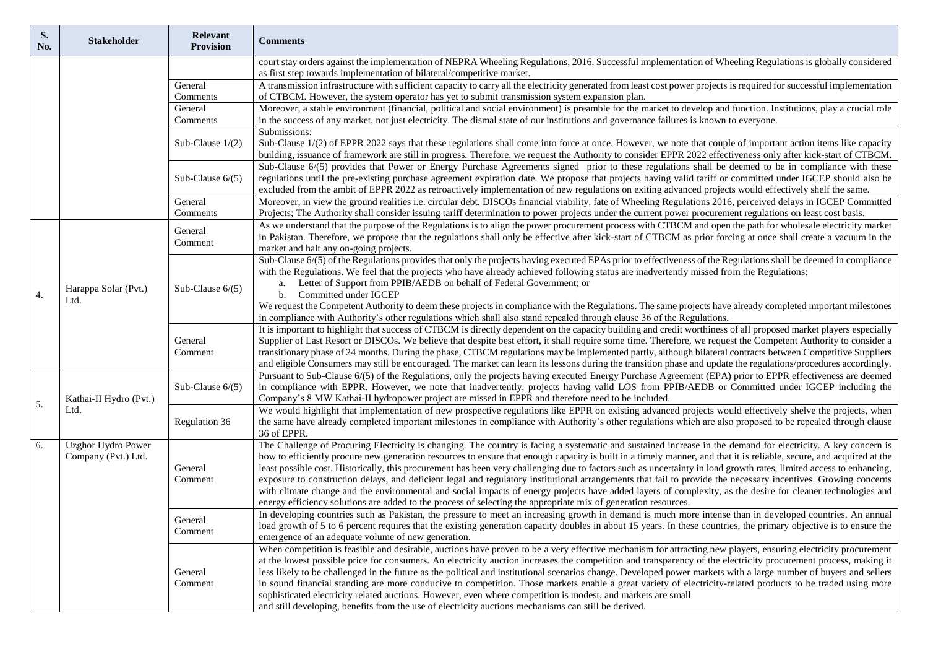| S.<br>No. | <b>Stakeholder</b>                               | Relevant<br><b>Provision</b> | <b>Comments</b>                                                                                                                                                                                                                                                                                                                                                                                                                                                                                                                                                                                                                                                                                                                                                                                                                                                                                                                                                 |
|-----------|--------------------------------------------------|------------------------------|-----------------------------------------------------------------------------------------------------------------------------------------------------------------------------------------------------------------------------------------------------------------------------------------------------------------------------------------------------------------------------------------------------------------------------------------------------------------------------------------------------------------------------------------------------------------------------------------------------------------------------------------------------------------------------------------------------------------------------------------------------------------------------------------------------------------------------------------------------------------------------------------------------------------------------------------------------------------|
|           |                                                  |                              | court stay orders against the implementation of NEPRA Wheeling Regulations, 2016. Successful implementation of Wheeling Regulations is globally considered                                                                                                                                                                                                                                                                                                                                                                                                                                                                                                                                                                                                                                                                                                                                                                                                      |
|           |                                                  |                              | as first step towards implementation of bilateral/competitive market.                                                                                                                                                                                                                                                                                                                                                                                                                                                                                                                                                                                                                                                                                                                                                                                                                                                                                           |
|           |                                                  | General                      | A transmission infrastructure with sufficient capacity to carry all the electricity generated from least cost power projects is required for successful implementation                                                                                                                                                                                                                                                                                                                                                                                                                                                                                                                                                                                                                                                                                                                                                                                          |
|           |                                                  | Comments                     | of CTBCM. However, the system operator has yet to submit transmission system expansion plan.                                                                                                                                                                                                                                                                                                                                                                                                                                                                                                                                                                                                                                                                                                                                                                                                                                                                    |
|           |                                                  | General                      | Moreover, a stable environment (financial, political and social environment) is preamble for the market to develop and function. Institutions, play a crucial role                                                                                                                                                                                                                                                                                                                                                                                                                                                                                                                                                                                                                                                                                                                                                                                              |
|           |                                                  | Comments                     | in the success of any market, not just electricity. The dismal state of our institutions and governance failures is known to everyone.<br>Submissions:                                                                                                                                                                                                                                                                                                                                                                                                                                                                                                                                                                                                                                                                                                                                                                                                          |
|           |                                                  | Sub-Clause $1/(2)$           | Sub-Clause 1/(2) of EPPR 2022 says that these regulations shall come into force at once. However, we note that couple of important action items like capacity                                                                                                                                                                                                                                                                                                                                                                                                                                                                                                                                                                                                                                                                                                                                                                                                   |
|           |                                                  |                              | building, issuance of framework are still in progress. Therefore, we request the Authority to consider EPPR 2022 effectiveness only after kick-start of CTBCM.                                                                                                                                                                                                                                                                                                                                                                                                                                                                                                                                                                                                                                                                                                                                                                                                  |
|           |                                                  | Sub-Clause $6/(5)$           | Sub-Clause $6/(5)$ provides that Power or Energy Purchase Agreements signed prior to these regulations shall be deemed to be in compliance with these<br>regulations until the pre-existing purchase agreement expiration date. We propose that projects having valid tariff or committed under IGCEP should also be<br>excluded from the ambit of EPPR 2022 as retroactively implementation of new regulations on exiting advanced projects would effectively shelf the same.                                                                                                                                                                                                                                                                                                                                                                                                                                                                                  |
|           |                                                  | General                      | Moreover, in view the ground realities i.e. circular debt, DISCOs financial viability, fate of Wheeling Regulations 2016, perceived delays in IGCEP Committed                                                                                                                                                                                                                                                                                                                                                                                                                                                                                                                                                                                                                                                                                                                                                                                                   |
|           |                                                  | Comments                     | Projects; The Authority shall consider issuing tariff determination to power projects under the current power procurement regulations on least cost basis.                                                                                                                                                                                                                                                                                                                                                                                                                                                                                                                                                                                                                                                                                                                                                                                                      |
|           |                                                  | General<br>Comment           | As we understand that the purpose of the Regulations is to align the power procurement process with CTBCM and open the path for wholesale electricity market<br>in Pakistan. Therefore, we propose that the regulations shall only be effective after kick-start of CTBCM as prior forcing at once shall create a vacuum in the<br>market and halt any on-going projects.                                                                                                                                                                                                                                                                                                                                                                                                                                                                                                                                                                                       |
| 4.        | Harappa Solar (Pvt.)                             | Sub-Clause $6/(5)$           | Sub-Clause $6/(5)$ of the Regulations provides that only the projects having executed EPAs prior to effectiveness of the Regulations shall be deemed in compliance<br>with the Regulations. We feel that the projects who have already achieved following status are inadvertently missed from the Regulations:<br>Letter of Support from PPIB/AEDB on behalf of Federal Government; or<br>a.<br>$\mathbf b$ .<br>Committed under IGCEP                                                                                                                                                                                                                                                                                                                                                                                                                                                                                                                         |
|           | Ltd.                                             |                              | We request the Competent Authority to deem these projects in compliance with the Regulations. The same projects have already completed important milestones<br>in compliance with Authority's other regulations which shall also stand repealed through clause 36 of the Regulations.                                                                                                                                                                                                                                                                                                                                                                                                                                                                                                                                                                                                                                                                           |
|           |                                                  | General<br>Comment           | It is important to highlight that success of CTBCM is directly dependent on the capacity building and credit worthiness of all proposed market players especially<br>Supplier of Last Resort or DISCOs. We believe that despite best effort, it shall require some time. Therefore, we request the Competent Authority to consider a<br>transitionary phase of 24 months. During the phase, CTBCM regulations may be implemented partly, although bilateral contracts between Competitive Suppliers<br>and eligible Consumers may still be encouraged. The market can learn its lessons during the transition phase and update the regulations/procedures accordingly.                                                                                                                                                                                                                                                                                          |
|           | Kathai-II Hydro (Pvt.)<br>Ltd.                   | Sub-Clause $6/(5)$           | Pursuant to Sub-Clause 6/(5) of the Regulations, only the projects having executed Energy Purchase Agreement (EPA) prior to EPPR effectiveness are deemed<br>in compliance with EPPR. However, we note that inadvertently, projects having valid LOS from PPIB/AEDB or Committed under IGCEP including the<br>Company's 8 MW Kathai-II hydropower project are missed in EPPR and therefore need to be included.                                                                                                                                                                                                                                                                                                                                                                                                                                                                                                                                                 |
| 5.        |                                                  | Regulation 36                | We would highlight that implementation of new prospective regulations like EPPR on existing advanced projects would effectively shelve the projects, when<br>the same have already completed important milestones in compliance with Authority's other regulations which are also proposed to be repealed through clause<br>36 of EPPR.                                                                                                                                                                                                                                                                                                                                                                                                                                                                                                                                                                                                                         |
| 6.        | <b>Uzghor Hydro Power</b><br>Company (Pvt.) Ltd. | General<br>Comment           | The Challenge of Procuring Electricity is changing. The country is facing a systematic and sustained increase in the demand for electricity. A key concern is<br>how to efficiently procure new generation resources to ensure that enough capacity is built in a timely manner, and that it is reliable, secure, and acquired at the<br>least possible cost. Historically, this procurement has been very challenging due to factors such as uncertainty in load growth rates, limited access to enhancing,<br>exposure to construction delays, and deficient legal and regulatory institutional arrangements that fail to provide the necessary incentives. Growing concerns<br>with climate change and the environmental and social impacts of energy projects have added layers of complexity, as the desire for cleaner technologies and<br>energy efficiency solutions are added to the process of selecting the appropriate mix of generation resources. |
|           |                                                  | General<br>Comment           | In developing countries such as Pakistan, the pressure to meet an increasing growth in demand is much more intense than in developed countries. An annual<br>load growth of 5 to 6 percent requires that the existing generation capacity doubles in about 15 years. In these countries, the primary objective is to ensure the<br>emergence of an adequate volume of new generation.                                                                                                                                                                                                                                                                                                                                                                                                                                                                                                                                                                           |
|           |                                                  | General<br>Comment           | When competition is feasible and desirable, auctions have proven to be a very effective mechanism for attracting new players, ensuring electricity procurement<br>at the lowest possible price for consumers. An electricity auction increases the competition and transparency of the electricity procurement process, making it<br>less likely to be challenged in the future as the political and institutional scenarios change. Developed power markets with a large number of buyers and sellers<br>in sound financial standing are more conducive to competition. Those markets enable a great variety of electricity-related products to be traded using more<br>sophisticated electricity related auctions. However, even where competition is modest, and markets are small<br>and still developing, benefits from the use of electricity auctions mechanisms can still be derived.                                                                   |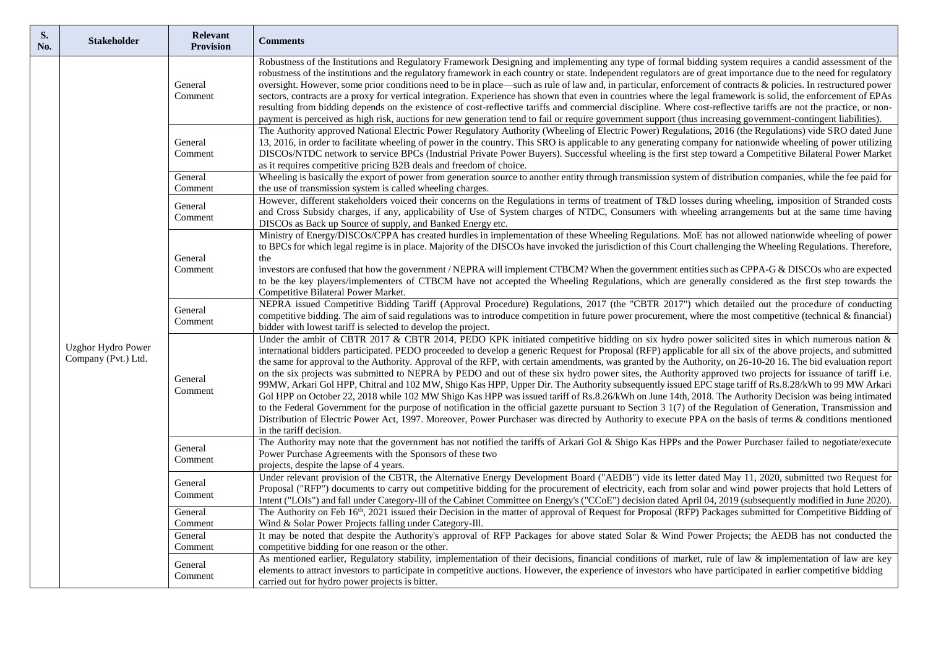| S.<br>No. | <b>Stakeholder</b>                        | Relevant<br><b>Provision</b> | <b>Comments</b>                                                                                                                                                                                                                                                                                                                                                                                                                                                                                                                                                                                                                                                                                                                                                                                                                                                                                                                                                                                                                                                                                                                                                                                                                                                                                                              |
|-----------|-------------------------------------------|------------------------------|------------------------------------------------------------------------------------------------------------------------------------------------------------------------------------------------------------------------------------------------------------------------------------------------------------------------------------------------------------------------------------------------------------------------------------------------------------------------------------------------------------------------------------------------------------------------------------------------------------------------------------------------------------------------------------------------------------------------------------------------------------------------------------------------------------------------------------------------------------------------------------------------------------------------------------------------------------------------------------------------------------------------------------------------------------------------------------------------------------------------------------------------------------------------------------------------------------------------------------------------------------------------------------------------------------------------------|
|           |                                           | General<br>Comment           | Robustness of the Institutions and Regulatory Framework Designing and implementing any type of formal bidding system requires a candid assessment of the<br>robustness of the institutions and the regulatory framework in each country or state. Independent regulators are of great importance due to the need for regulatory<br>oversight. However, some prior conditions need to be in place—such as rule of law and, in particular, enforcement of contracts & policies. In restructured power<br>sectors, contracts are a proxy for vertical integration. Experience has shown that even in countries where the legal framework is solid, the enforcement of EPAs<br>resulting from bidding depends on the existence of cost-reflective tariffs and commercial discipline. Where cost-reflective tariffs are not the practice, or non-<br>payment is perceived as high risk, auctions for new generation tend to fail or require government support (thus increasing government-contingent liabilities).                                                                                                                                                                                                                                                                                                               |
|           |                                           | General<br>Comment           | The Authority approved National Electric Power Regulatory Authority (Wheeling of Electric Power) Regulations, 2016 (the Regulations) vide SRO dated June<br>13, 2016, in order to facilitate wheeling of power in the country. This SRO is applicable to any generating company for nationwide wheeling of power utilizing<br>DISCOs/NTDC network to service BPCs (Industrial Private Power Buyers). Successful wheeling is the first step toward a Competitive Bilateral Power Market<br>as it requires competitive pricing B2B deals and freedom of choice.                                                                                                                                                                                                                                                                                                                                                                                                                                                                                                                                                                                                                                                                                                                                                                |
|           |                                           | General<br>Comment           | Wheeling is basically the export of power from generation source to another entity through transmission system of distribution companies, while the fee paid for<br>the use of transmission system is called wheeling charges.                                                                                                                                                                                                                                                                                                                                                                                                                                                                                                                                                                                                                                                                                                                                                                                                                                                                                                                                                                                                                                                                                               |
|           |                                           | General<br>Comment           | However, different stakeholders voiced their concerns on the Regulations in terms of treatment of T&D losses during wheeling, imposition of Stranded costs<br>and Cross Subsidy charges, if any, applicability of Use of System charges of NTDC, Consumers with wheeling arrangements but at the same time having<br>DISCOs as Back up Source of supply, and Banked Energy etc.                                                                                                                                                                                                                                                                                                                                                                                                                                                                                                                                                                                                                                                                                                                                                                                                                                                                                                                                              |
|           |                                           | General<br>Comment           | Ministry of Energy/DISCOs/CPPA has created hurdles in implementation of these Wheeling Regulations. MoE has not allowed nationwide wheeling of power<br>to BPCs for which legal regime is in place. Majority of the DISCOs have invoked the jurisdiction of this Court challenging the Wheeling Regulations. Therefore,<br>the<br>investors are confused that how the government / NEPRA will implement CTBCM? When the government entities such as CPPA-G & DISCOs who are expected<br>to be the key players/implementers of CTBCM have not accepted the Wheeling Regulations, which are generally considered as the first step towards the<br>Competitive Bilateral Power Market.                                                                                                                                                                                                                                                                                                                                                                                                                                                                                                                                                                                                                                          |
|           |                                           | General<br>Comment           | NEPRA issued Competitive Bidding Tariff (Approval Procedure) Regulations, 2017 (the "CBTR 2017") which detailed out the procedure of conducting<br>competitive bidding. The aim of said regulations was to introduce competition in future power procurement, where the most competitive (technical & financial)<br>bidder with lowest tariff is selected to develop the project.                                                                                                                                                                                                                                                                                                                                                                                                                                                                                                                                                                                                                                                                                                                                                                                                                                                                                                                                            |
|           | Uzghor Hydro Power<br>Company (Pvt.) Ltd. | General<br>Comment           | Under the ambit of CBTR 2017 & CBTR 2014, PEDO KPK initiated competitive bidding on six hydro power solicited sites in which numerous nation &<br>international bidders participated. PEDO proceeded to develop a generic Request for Proposal (RFP) applicable for all six of the above projects, and submitted<br>the same for approval to the Authority. Approval of the RFP, with certain amendments, was granted by the Authority, on 26-10-20 16. The bid evaluation report<br>on the six projects was submitted to NEPRA by PEDO and out of these six hydro power sites, the Authority approved two projects for issuance of tariff i.e.<br>99MW, Arkari Gol HPP, Chitral and 102 MW, Shigo Kas HPP, Upper Dir. The Authority subsequently issued EPC stage tariff of Rs.8.28/kWh to 99 MW Arkari<br>Gol HPP on October 22, 2018 while 102 MW Shigo Kas HPP was issued tariff of Rs.8.26/kWh on June 14th, 2018. The Authority Decision was being intimated<br>to the Federal Government for the purpose of notification in the official gazette pursuant to Section 3 1(7) of the Regulation of Generation, Transmission and<br>Distribution of Electric Power Act, 1997. Moreover, Power Purchaser was directed by Authority to execute PPA on the basis of terms & conditions mentioned<br>in the tariff decision. |
|           |                                           | General<br>Comment           | The Authority may note that the government has not notified the tariffs of Arkari Gol & Shigo Kas HPPs and the Power Purchaser failed to negotiate/execute<br>Power Purchase Agreements with the Sponsors of these two<br>projects, despite the lapse of 4 years.                                                                                                                                                                                                                                                                                                                                                                                                                                                                                                                                                                                                                                                                                                                                                                                                                                                                                                                                                                                                                                                            |
|           |                                           | General<br>Comment           | Under relevant provision of the CBTR, the Alternative Energy Development Board ("AEDB") vide its letter dated May 11, 2020, submitted two Request for<br>Proposal ("RFP") documents to carry out competitive bidding for the procurement of electricity, each from solar and wind power projects that hold Letters of<br>Intent ("LOIs") and fall under Category-Ill of the Cabinet Committee on Energy's ("CCoE") decision dated April 04, 2019 (subsequently modified in June 2020).                                                                                                                                                                                                                                                                                                                                                                                                                                                                                                                                                                                                                                                                                                                                                                                                                                       |
|           |                                           | General                      | The Authority on Feb 16 <sup>th</sup> , 2021 issued their Decision in the matter of approval of Request for Proposal (RFP) Packages submitted for Competitive Bidding of                                                                                                                                                                                                                                                                                                                                                                                                                                                                                                                                                                                                                                                                                                                                                                                                                                                                                                                                                                                                                                                                                                                                                     |
|           |                                           | Comment<br>General           | Wind & Solar Power Projects falling under Category-Ill.<br>It may be noted that despite the Authority's approval of RFP Packages for above stated Solar & Wind Power Projects; the AEDB has not conducted the                                                                                                                                                                                                                                                                                                                                                                                                                                                                                                                                                                                                                                                                                                                                                                                                                                                                                                                                                                                                                                                                                                                |
|           |                                           | Comment                      | competitive bidding for one reason or the other.                                                                                                                                                                                                                                                                                                                                                                                                                                                                                                                                                                                                                                                                                                                                                                                                                                                                                                                                                                                                                                                                                                                                                                                                                                                                             |
|           |                                           | General<br>Comment           | As mentioned earlier, Regulatory stability, implementation of their decisions, financial conditions of market, rule of law & implementation of law are key<br>elements to attract investors to participate in competitive auctions. However, the experience of investors who have participated in earlier competitive bidding<br>carried out for hydro power projects is bitter.                                                                                                                                                                                                                                                                                                                                                                                                                                                                                                                                                                                                                                                                                                                                                                                                                                                                                                                                             |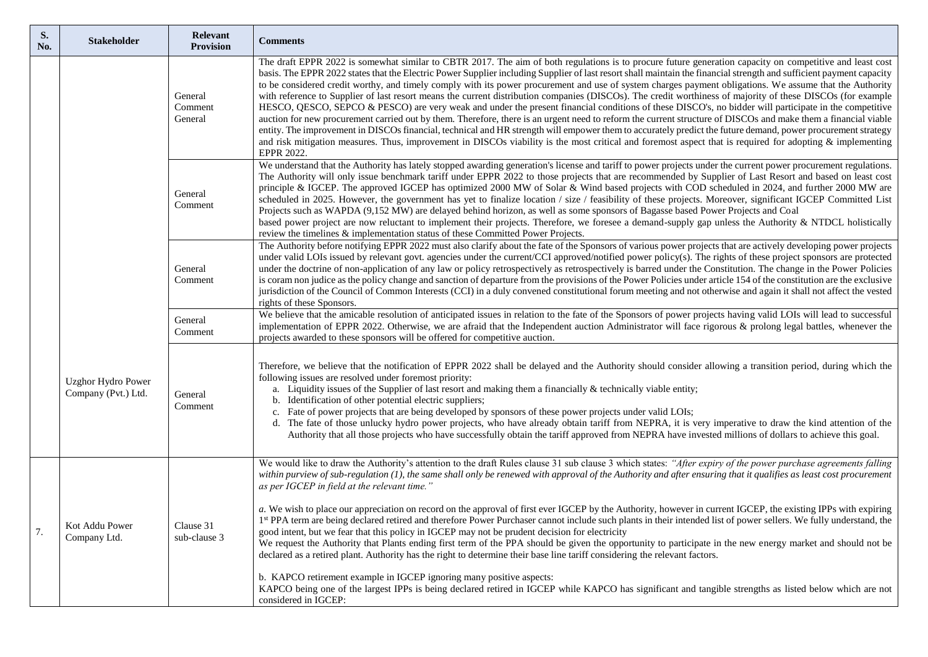| S.<br>No. | <b>Stakeholder</b>                               | Relevant<br><b>Provision</b>  | <b>Comments</b>                                                                                                                                                                                                                                                                                                                                                                                                                                                                                                                                                                                                                                                                                                                                                                                                                                                                                                                                                                                                                                                                                                                                                                                                                                                                                                                   |
|-----------|--------------------------------------------------|-------------------------------|-----------------------------------------------------------------------------------------------------------------------------------------------------------------------------------------------------------------------------------------------------------------------------------------------------------------------------------------------------------------------------------------------------------------------------------------------------------------------------------------------------------------------------------------------------------------------------------------------------------------------------------------------------------------------------------------------------------------------------------------------------------------------------------------------------------------------------------------------------------------------------------------------------------------------------------------------------------------------------------------------------------------------------------------------------------------------------------------------------------------------------------------------------------------------------------------------------------------------------------------------------------------------------------------------------------------------------------|
|           |                                                  | General<br>Comment<br>General | The draft EPPR 2022 is somewhat similar to CBTR 2017. The aim of both regulations is to procure future generation capacity on competitive and least cost<br>basis. The EPPR 2022 states that the Electric Power Supplier including Supplier of last resort shall maintain the financial strength and sufficient payment capacity<br>to be considered credit worthy, and timely comply with its power procurement and use of system charges payment obligations. We assume that the Authority<br>with reference to Supplier of last resort means the current distribution companies (DISCOs). The credit worthiness of majority of these DISCOs (for example<br>HESCO, QESCO, SEPCO & PESCO) are very weak and under the present financial conditions of these DISCO's, no bidder will participate in the competitive<br>auction for new procurement carried out by them. Therefore, there is an urgent need to reform the current structure of DISCOs and make them a financial viable<br>entity. The improvement in DISCOs financial, technical and HR strength will empower them to accurately predict the future demand, power procurement strategy<br>and risk mitigation measures. Thus, improvement in DISCOs viability is the most critical and foremost aspect that is required for adopting & implementing<br>EPPR 2022. |
|           |                                                  | General<br>Comment            | We understand that the Authority has lately stopped awarding generation's license and tariff to power projects under the current power procurement regulations.<br>The Authority will only issue benchmark tariff under EPPR 2022 to those projects that are recommended by Supplier of Last Resort and based on least cost<br>principle & IGCEP. The approved IGCEP has optimized 2000 MW of Solar & Wind based projects with COD scheduled in 2024, and further 2000 MW are<br>scheduled in 2025. However, the government has yet to finalize location / size / feasibility of these projects. Moreover, significant IGCEP Committed List<br>Projects such as WAPDA (9,152 MW) are delayed behind horizon, as well as some sponsors of Bagasse based Power Projects and Coal<br>based power project are now reluctant to implement their projects. Therefore, we foresee a demand-supply gap unless the Authority & NTDCL holistically<br>review the timelines & implementation status of these Committed Power Projects.                                                                                                                                                                                                                                                                                                       |
|           |                                                  | General<br>Comment            | The Authority before notifying EPPR 2022 must also clarify about the fate of the Sponsors of various power projects that are actively developing power projects<br>under valid LOIs issued by relevant govt. agencies under the current/CCI approved/notified power policy(s). The rights of these project sponsors are protected<br>under the doctrine of non-application of any law or policy retrospectively as retrospectively is barred under the Constitution. The change in the Power Policies<br>is coram non judice as the policy change and sanction of departure from the provisions of the Power Policies under article 154 of the constitution are the exclusive<br>jurisdiction of the Council of Common Interests (CCI) in a duly convened constitutional forum meeting and not otherwise and again it shall not affect the vested<br>rights of these Sponsors.                                                                                                                                                                                                                                                                                                                                                                                                                                                    |
|           |                                                  | General<br>Comment            | We believe that the amicable resolution of anticipated issues in relation to the fate of the Sponsors of power projects having valid LOIs will lead to successful<br>implementation of EPPR 2022. Otherwise, we are afraid that the Independent auction Administrator will face rigorous & prolong legal battles, whenever the<br>projects awarded to these sponsors will be offered for competitive auction.                                                                                                                                                                                                                                                                                                                                                                                                                                                                                                                                                                                                                                                                                                                                                                                                                                                                                                                     |
|           | <b>Uzghor Hydro Power</b><br>Company (Pvt.) Ltd. | General<br>Comment            | Therefore, we believe that the notification of EPPR 2022 shall be delayed and the Authority should consider allowing a transition period, during which the<br>following issues are resolved under foremost priority:<br>a. Liquidity issues of the Supplier of last resort and making them a financially $\&$ technically viable entity;<br>b. Identification of other potential electric suppliers;<br>c. Fate of power projects that are being developed by sponsors of these power projects under valid LOIs;<br>d. The fate of those unlucky hydro power projects, who have already obtain tariff from NEPRA, it is very imperative to draw the kind attention of the<br>Authority that all those projects who have successfully obtain the tariff approved from NEPRA have invested millions of dollars to achieve this goal.                                                                                                                                                                                                                                                                                                                                                                                                                                                                                                |
| 7.        | Kot Addu Power<br>Company Ltd.                   | Clause 31<br>sub-clause 3     | We would like to draw the Authority's attention to the draft Rules clause 31 sub clause 3 which states: "After expiry of the power purchase agreements falling<br>within purview of sub-regulation (1), the same shall only be renewed with approval of the Authority and after ensuring that it qualifies as least cost procurement<br>as per IGCEP in field at the relevant time."<br>a. We wish to place our appreciation on record on the approval of first ever IGCEP by the Authority, however in current IGCEP, the existing IPPs with expiring<br>1st PPA term are being declared retired and therefore Power Purchaser cannot include such plants in their intended list of power sellers. We fully understand, the<br>good intent, but we fear that this policy in IGCEP may not be prudent decision for electricity<br>We request the Authority that Plants ending first term of the PPA should be given the opportunity to participate in the new energy market and should not be<br>declared as a retired plant. Authority has the right to determine their base line tariff considering the relevant factors.                                                                                                                                                                                                       |
|           |                                                  |                               | b. KAPCO retirement example in IGCEP ignoring many positive aspects:<br>KAPCO being one of the largest IPPs is being declared retired in IGCEP while KAPCO has significant and tangible strengths as listed below which are not<br>considered in IGCEP:                                                                                                                                                                                                                                                                                                                                                                                                                                                                                                                                                                                                                                                                                                                                                                                                                                                                                                                                                                                                                                                                           |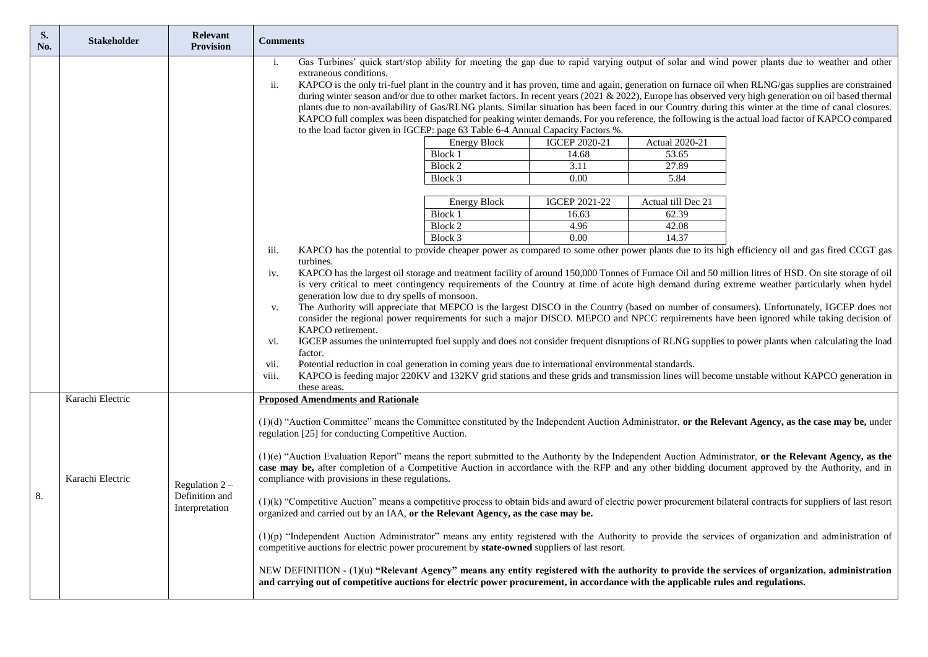| S.<br>No. | <b>Stakeholder</b> | <b>Relevant</b><br><b>Provision</b>                  | <b>Comments</b>                                                                                                                                                                                                                                                                                                                                                                                                                                                                                                                                                                                                                                                                                                                                                                                                                                                                                                                                                                                                                                                                                                                                                                                                                                                                                                                                                                                  |
|-----------|--------------------|------------------------------------------------------|--------------------------------------------------------------------------------------------------------------------------------------------------------------------------------------------------------------------------------------------------------------------------------------------------------------------------------------------------------------------------------------------------------------------------------------------------------------------------------------------------------------------------------------------------------------------------------------------------------------------------------------------------------------------------------------------------------------------------------------------------------------------------------------------------------------------------------------------------------------------------------------------------------------------------------------------------------------------------------------------------------------------------------------------------------------------------------------------------------------------------------------------------------------------------------------------------------------------------------------------------------------------------------------------------------------------------------------------------------------------------------------------------|
|           |                    |                                                      | Gas Turbines' quick start/stop ability for meeting the gap due to rapid varying output of solar and wind power plants due to weather and other<br>i.<br>extraneous conditions.<br>ii.<br>KAPCO is the only tri-fuel plant in the country and it has proven, time and again, generation on furnace oil when RLNG/gas supplies are constrained<br>during winter season and/or due to other market factors. In recent years (2021 & 2022), Europe has observed very high generation on oil based thermal<br>plants due to non-availability of Gas/RLNG plants. Similar situation has been faced in our Country during this winter at the time of canal closures.<br>KAPCO full complex was been dispatched for peaking winter demands. For you reference, the following is the actual load factor of KAPCO compared<br>to the load factor given in IGCEP: page 63 Table 6-4 Annual Capacity Factors %.                                                                                                                                                                                                                                                                                                                                                                                                                                                                                              |
|           |                    |                                                      | <b>Energy Block</b><br><b>IGCEP 2020-21</b><br>Actual 2020-21                                                                                                                                                                                                                                                                                                                                                                                                                                                                                                                                                                                                                                                                                                                                                                                                                                                                                                                                                                                                                                                                                                                                                                                                                                                                                                                                    |
|           |                    |                                                      | Block 1<br>14.68<br>53.65                                                                                                                                                                                                                                                                                                                                                                                                                                                                                                                                                                                                                                                                                                                                                                                                                                                                                                                                                                                                                                                                                                                                                                                                                                                                                                                                                                        |
|           |                    |                                                      | Block 2<br>3.11<br>27.89                                                                                                                                                                                                                                                                                                                                                                                                                                                                                                                                                                                                                                                                                                                                                                                                                                                                                                                                                                                                                                                                                                                                                                                                                                                                                                                                                                         |
|           |                    |                                                      | 0.00<br>5.84<br>Block 3                                                                                                                                                                                                                                                                                                                                                                                                                                                                                                                                                                                                                                                                                                                                                                                                                                                                                                                                                                                                                                                                                                                                                                                                                                                                                                                                                                          |
|           |                    |                                                      |                                                                                                                                                                                                                                                                                                                                                                                                                                                                                                                                                                                                                                                                                                                                                                                                                                                                                                                                                                                                                                                                                                                                                                                                                                                                                                                                                                                                  |
|           |                    |                                                      | <b>Energy Block</b><br>IGCEP 2021-22<br>Actual till Dec 21                                                                                                                                                                                                                                                                                                                                                                                                                                                                                                                                                                                                                                                                                                                                                                                                                                                                                                                                                                                                                                                                                                                                                                                                                                                                                                                                       |
|           |                    |                                                      | Block 1<br>62.39<br>16.63                                                                                                                                                                                                                                                                                                                                                                                                                                                                                                                                                                                                                                                                                                                                                                                                                                                                                                                                                                                                                                                                                                                                                                                                                                                                                                                                                                        |
|           |                    |                                                      | Block 2<br>4.96<br>42.08                                                                                                                                                                                                                                                                                                                                                                                                                                                                                                                                                                                                                                                                                                                                                                                                                                                                                                                                                                                                                                                                                                                                                                                                                                                                                                                                                                         |
|           |                    |                                                      | 0.00<br>Block 3<br>14.37                                                                                                                                                                                                                                                                                                                                                                                                                                                                                                                                                                                                                                                                                                                                                                                                                                                                                                                                                                                                                                                                                                                                                                                                                                                                                                                                                                         |
|           |                    |                                                      | KAPCO has the potential to provide cheaper power as compared to some other power plants due to its high efficiency oil and gas fired CCGT gas<br>iii.<br>turbines.                                                                                                                                                                                                                                                                                                                                                                                                                                                                                                                                                                                                                                                                                                                                                                                                                                                                                                                                                                                                                                                                                                                                                                                                                               |
|           | Karachi Electric   |                                                      | KAPCO has the largest oil storage and treatment facility of around 150,000 Tonnes of Furnace Oil and 50 million litres of HSD. On site storage of oil<br>iv.<br>is very critical to meet contingency requirements of the Country at time of acute high demand during extreme weather particularly when hydel<br>generation low due to dry spells of monsoon.<br>The Authority will appreciate that MEPCO is the largest DISCO in the Country (based on number of consumers). Unfortunately, IGCEP does not<br>V.<br>consider the regional power requirements for such a major DISCO. MEPCO and NPCC requirements have been ignored while taking decision of<br>KAPCO retirement.<br>IGCEP assumes the uninterrupted fuel supply and does not consider frequent disruptions of RLNG supplies to power plants when calculating the load<br>vi.<br>factor.<br>Potential reduction in coal generation in coming years due to international environmental standards.<br>vii.<br>KAPCO is feeding major 220KV and 132KV grid stations and these grids and transmission lines will become unstable without KAPCO generation in<br>viii.<br>these areas.<br><b>Proposed Amendments and Rationale</b>                                                                                                                                                                                                     |
| 8.        | Karachi Electric   | Regulation $2 -$<br>Definition and<br>Interpretation | (1)(d) "Auction Committee" means the Committee constituted by the Independent Auction Administrator, or the Relevant Agency, as the case may be, under<br>regulation [25] for conducting Competitive Auction.<br>(1)(e) "Auction Evaluation Report" means the report submitted to the Authority by the Independent Auction Administrator, or the Relevant Agency, as the<br>case may be, after completion of a Competitive Auction in accordance with the RFP and any other bidding document approved by the Authority, and in<br>compliance with provisions in these regulations.<br>(1)(k) "Competitive Auction" means a competitive process to obtain bids and award of electric power procurement bilateral contracts for suppliers of last resort<br>organized and carried out by an IAA, or the Relevant Agency, as the case may be.<br>$(1)(p)$ "Independent Auction Administrator" means any entity registered with the Authority to provide the services of organization and administration of<br>competitive auctions for electric power procurement by state-owned suppliers of last resort.<br>NEW DEFINITION - (1)(u) "Relevant Agency" means any entity registered with the authority to provide the services of organization, administration<br>and carrying out of competitive auctions for electric power procurement, in accordance with the applicable rules and regulations. |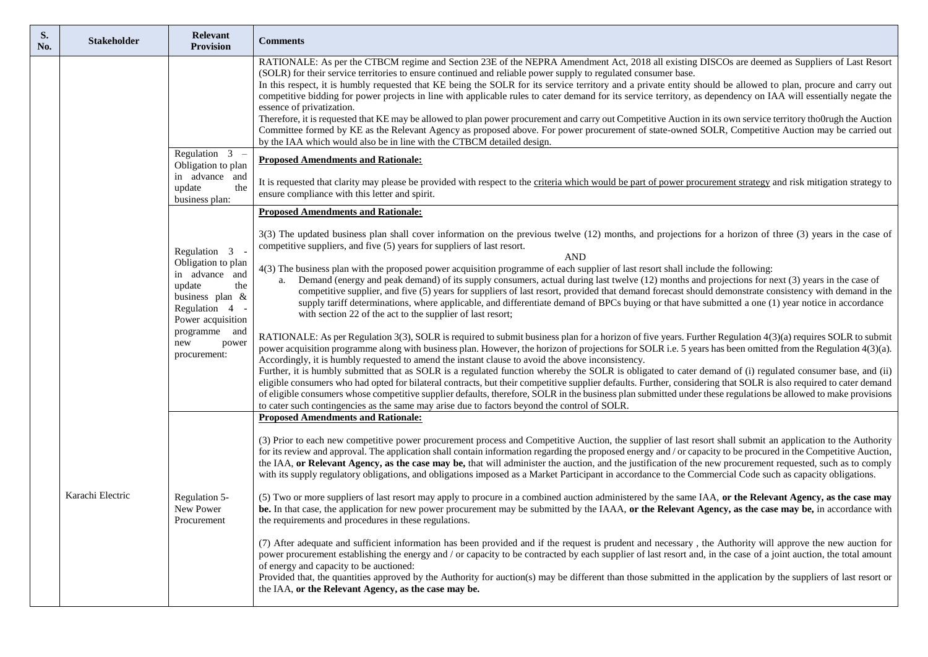| S.<br>No. | <b>Stakeholder</b> | <b>Relevant</b><br><b>Provision</b>                                                                                                                                            | <b>Comments</b>                                                                                                                                                                                                                                                                                                                                                                                                                                                                                                                                                                                                                                                                                                                                                                                                                                                                                                                                                                                                                                                                                                                                                                                                                                            |
|-----------|--------------------|--------------------------------------------------------------------------------------------------------------------------------------------------------------------------------|------------------------------------------------------------------------------------------------------------------------------------------------------------------------------------------------------------------------------------------------------------------------------------------------------------------------------------------------------------------------------------------------------------------------------------------------------------------------------------------------------------------------------------------------------------------------------------------------------------------------------------------------------------------------------------------------------------------------------------------------------------------------------------------------------------------------------------------------------------------------------------------------------------------------------------------------------------------------------------------------------------------------------------------------------------------------------------------------------------------------------------------------------------------------------------------------------------------------------------------------------------|
|           |                    |                                                                                                                                                                                | RATIONALE: As per the CTBCM regime and Section 23E of the NEPRA Amendment Act, 2018 all existing DISCOs are deemed as Suppliers of Last Resort<br>(SOLR) for their service territories to ensure continued and reliable power supply to regulated consumer base.<br>In this respect, it is humbly requested that KE being the SOLR for its service territory and a private entity should be allowed to plan, procure and carry out<br>competitive bidding for power projects in line with applicable rules to cater demand for its service territory, as dependency on IAA will essentially negate the<br>essence of privatization.<br>Therefore, it is requested that KE may be allowed to plan power procurement and carry out Competitive Auction in its own service territory tho0rugh the Auction<br>Committee formed by KE as the Relevant Agency as proposed above. For power procurement of state-owned SOLR, Competitive Auction may be carried out<br>by the IAA which would also be in line with the CTBCM detailed design.                                                                                                                                                                                                                     |
|           |                    | Regulation 3<br>Obligation to plan                                                                                                                                             | <b>Proposed Amendments and Rationale:</b>                                                                                                                                                                                                                                                                                                                                                                                                                                                                                                                                                                                                                                                                                                                                                                                                                                                                                                                                                                                                                                                                                                                                                                                                                  |
|           |                    | in advance and<br>update<br>the<br>business plan:                                                                                                                              | It is requested that clarity may please be provided with respect to the criteria which would be part of power procurement strategy and risk mitigation strategy to<br>ensure compliance with this letter and spirit.                                                                                                                                                                                                                                                                                                                                                                                                                                                                                                                                                                                                                                                                                                                                                                                                                                                                                                                                                                                                                                       |
|           |                    |                                                                                                                                                                                | <b>Proposed Amendments and Rationale:</b>                                                                                                                                                                                                                                                                                                                                                                                                                                                                                                                                                                                                                                                                                                                                                                                                                                                                                                                                                                                                                                                                                                                                                                                                                  |
|           | Karachi Electric   | Regulation 3<br>Obligation to plan<br>in advance and<br>update<br>the<br>business plan &<br>Regulation 4<br>Power acquisition<br>programme and<br>new<br>power<br>procurement: | 3(3) The updated business plan shall cover information on the previous twelve (12) months, and projections for a horizon of three (3) years in the case of<br>competitive suppliers, and five (5) years for suppliers of last resort.<br><b>AND</b><br>4(3) The business plan with the proposed power acquisition programme of each supplier of last resort shall include the following:<br>Demand (energy and peak demand) of its supply consumers, actual during last twelve (12) months and projections for next (3) years in the case of<br>competitive supplier, and five (5) years for suppliers of last resort, provided that demand forecast should demonstrate consistency with demand in the<br>supply tariff determinations, where applicable, and differentiate demand of BPCs buying or that have submitted a one (1) year notice in accordance<br>with section 22 of the act to the supplier of last resort;<br>RATIONALE: As per Regulation 3(3), SOLR is required to submit business plan for a horizon of five years. Further Regulation 4(3)(a) requires SOLR to submit<br>power acquisition programme along with business plan. However, the horizon of projections for SOLR i.e. 5 years has been omitted from the Regulation 4(3)(a). |
|           |                    |                                                                                                                                                                                | Accordingly, it is humbly requested to amend the instant clause to avoid the above inconsistency.<br>Further, it is humbly submitted that as SOLR is a regulated function whereby the SOLR is obligated to cater demand of (i) regulated consumer base, and (ii)<br>eligible consumers who had opted for bilateral contracts, but their competitive supplier defaults. Further, considering that SOLR is also required to cater demand<br>of eligible consumers whose competitive supplier defaults, therefore, SOLR in the business plan submitted under these regulations be allowed to make provisions<br>to cater such contingencies as the same may arise due to factors beyond the control of SOLR.<br><b>Proposed Amendments and Rationale:</b>                                                                                                                                                                                                                                                                                                                                                                                                                                                                                                     |
|           |                    | Regulation 5-                                                                                                                                                                  | (3) Prior to each new competitive power procurement process and Competitive Auction, the supplier of last resort shall submit an application to the Authority<br>for its review and approval. The application shall contain information regarding the proposed energy and / or capacity to be procured in the Competitive Auction,<br>the IAA, or Relevant Agency, as the case may be, that will administer the auction, and the justification of the new procurement requested, such as to comply<br>with its supply regulatory obligations, and obligations imposed as a Market Participant in accordance to the Commercial Code such as capacity obligations.<br>(5) Two or more suppliers of last resort may apply to procure in a combined auction administered by the same IAA, or the Relevant Agency, as the case may                                                                                                                                                                                                                                                                                                                                                                                                                              |
|           |                    | New Power<br>Procurement                                                                                                                                                       | be. In that case, the application for new power procurement may be submitted by the IAAA, or the Relevant Agency, as the case may be, in accordance with<br>the requirements and procedures in these regulations.<br>(7) After adequate and sufficient information has been provided and if the request is prudent and necessary, the Authority will approve the new auction for<br>power procurement establishing the energy and / or capacity to be contracted by each supplier of last resort and, in the case of a joint auction, the total amount<br>of energy and capacity to be auctioned:<br>Provided that, the quantities approved by the Authority for auction(s) may be different than those submitted in the application by the suppliers of last resort or<br>the IAA, or the Relevant Agency, as the case may be.                                                                                                                                                                                                                                                                                                                                                                                                                            |
|           |                    |                                                                                                                                                                                |                                                                                                                                                                                                                                                                                                                                                                                                                                                                                                                                                                                                                                                                                                                                                                                                                                                                                                                                                                                                                                                                                                                                                                                                                                                            |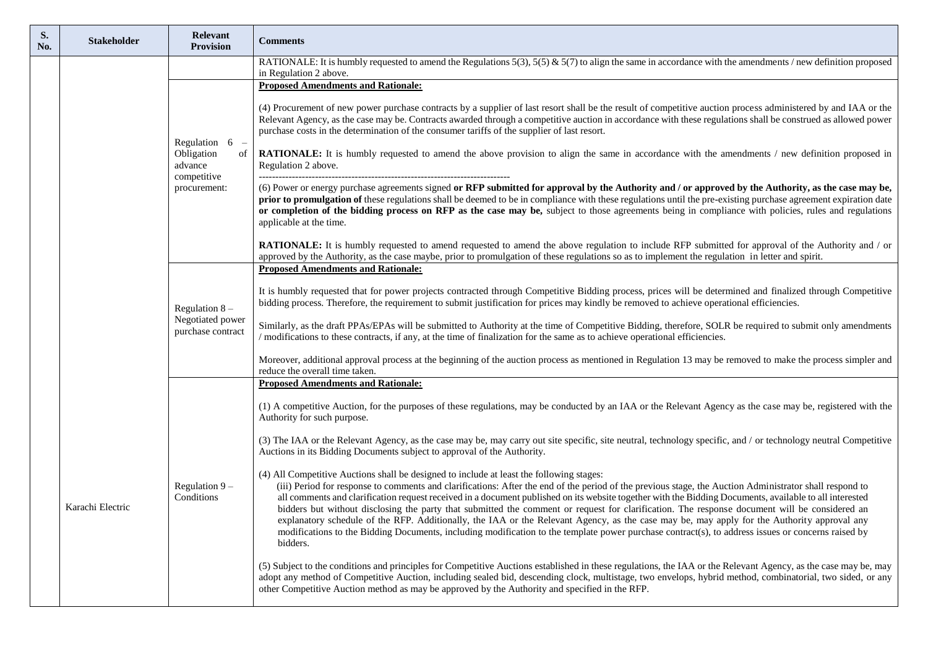| S.<br>No. | <b>Stakeholder</b> | <b>Relevant</b><br><b>Provision</b>                                      | <b>Comments</b>                                                                                                                                                                                                                                                                                                                                                                                                                                                                                                                                                                                                                                                                                                                                                                                                                                                                  |
|-----------|--------------------|--------------------------------------------------------------------------|----------------------------------------------------------------------------------------------------------------------------------------------------------------------------------------------------------------------------------------------------------------------------------------------------------------------------------------------------------------------------------------------------------------------------------------------------------------------------------------------------------------------------------------------------------------------------------------------------------------------------------------------------------------------------------------------------------------------------------------------------------------------------------------------------------------------------------------------------------------------------------|
|           |                    |                                                                          | RATIONALE: It is humbly requested to amend the Regulations $5(3)$ , $5(5)$ & $5(7)$ to align the same in accordance with the amendments / new definition proposed<br>in Regulation 2 above.                                                                                                                                                                                                                                                                                                                                                                                                                                                                                                                                                                                                                                                                                      |
|           |                    |                                                                          | <b>Proposed Amendments and Rationale:</b>                                                                                                                                                                                                                                                                                                                                                                                                                                                                                                                                                                                                                                                                                                                                                                                                                                        |
|           |                    | Regulation $6$ –<br>Obligation<br>advance<br>competitive<br>procurement: | (4) Procurement of new power purchase contracts by a supplier of last resort shall be the result of competitive auction process administered by and IAA or the<br>Relevant Agency, as the case may be. Contracts awarded through a competitive auction in accordance with these regulations shall be construed as allowed power<br>purchase costs in the determination of the consumer tariffs of the supplier of last resort.                                                                                                                                                                                                                                                                                                                                                                                                                                                   |
|           |                    |                                                                          | of   RATIONALE: It is humbly requested to amend the above provision to align the same in accordance with the amendments / new definition proposed in<br>Regulation 2 above.                                                                                                                                                                                                                                                                                                                                                                                                                                                                                                                                                                                                                                                                                                      |
|           |                    |                                                                          | (6) Power or energy purchase agreements signed or RFP submitted for approval by the Authority and / or approved by the Authority, as the case may be,<br>prior to promulgation of these regulations shall be deemed to be in compliance with these regulations until the pre-existing purchase agreement expiration date<br>or completion of the bidding process on RFP as the case may be, subject to those agreements being in compliance with policies, rules and regulations<br>applicable at the time.                                                                                                                                                                                                                                                                                                                                                                      |
|           |                    |                                                                          | RATIONALE: It is humbly requested to amend requested to amend the above regulation to include RFP submitted for approval of the Authority and / or<br>approved by the Authority, as the case maybe, prior to promulgation of these regulations so as to implement the regulation in letter and spirit.                                                                                                                                                                                                                                                                                                                                                                                                                                                                                                                                                                           |
|           |                    |                                                                          | <b>Proposed Amendments and Rationale:</b>                                                                                                                                                                                                                                                                                                                                                                                                                                                                                                                                                                                                                                                                                                                                                                                                                                        |
|           |                    | Regulation $8 -$<br>Negotiated power<br>purchase contract                | It is humbly requested that for power projects contracted through Competitive Bidding process, prices will be determined and finalized through Competitive<br>bidding process. Therefore, the requirement to submit justification for prices may kindly be removed to achieve operational efficiencies.                                                                                                                                                                                                                                                                                                                                                                                                                                                                                                                                                                          |
|           |                    |                                                                          | Similarly, as the draft PPAs/EPAs will be submitted to Authority at the time of Competitive Bidding, therefore, SOLR be required to submit only amendments<br>/ modifications to these contracts, if any, at the time of finalization for the same as to achieve operational efficiencies.                                                                                                                                                                                                                                                                                                                                                                                                                                                                                                                                                                                       |
|           |                    |                                                                          | Moreover, additional approval process at the beginning of the auction process as mentioned in Regulation 13 may be removed to make the process simpler and<br>reduce the overall time taken.                                                                                                                                                                                                                                                                                                                                                                                                                                                                                                                                                                                                                                                                                     |
|           |                    |                                                                          | <b>Proposed Amendments and Rationale:</b>                                                                                                                                                                                                                                                                                                                                                                                                                                                                                                                                                                                                                                                                                                                                                                                                                                        |
|           |                    |                                                                          | (1) A competitive Auction, for the purposes of these regulations, may be conducted by an IAA or the Relevant Agency as the case may be, registered with the<br>Authority for such purpose.                                                                                                                                                                                                                                                                                                                                                                                                                                                                                                                                                                                                                                                                                       |
|           |                    | Regulation $9 -$<br>Conditions                                           | (3) The IAA or the Relevant Agency, as the case may be, may carry out site specific, site neutral, technology specific, and / or technology neutral Competitive<br>Auctions in its Bidding Documents subject to approval of the Authority.                                                                                                                                                                                                                                                                                                                                                                                                                                                                                                                                                                                                                                       |
|           | Karachi Electric   |                                                                          | (4) All Competitive Auctions shall be designed to include at least the following stages:<br>(iii) Period for response to comments and clarifications: After the end of the period of the previous stage, the Auction Administrator shall respond to<br>all comments and clarification request received in a document published on its website together with the Bidding Documents, available to all interested<br>bidders but without disclosing the party that submitted the comment or request for clarification. The response document will be considered an<br>explanatory schedule of the RFP. Additionally, the IAA or the Relevant Agency, as the case may be, may apply for the Authority approval any<br>modifications to the Bidding Documents, including modification to the template power purchase contract(s), to address issues or concerns raised by<br>bidders. |
|           |                    |                                                                          | (5) Subject to the conditions and principles for Competitive Auctions established in these regulations, the IAA or the Relevant Agency, as the case may be, may<br>adopt any method of Competitive Auction, including sealed bid, descending clock, multistage, two envelops, hybrid method, combinatorial, two sided, or any<br>other Competitive Auction method as may be approved by the Authority and specified in the RFP.                                                                                                                                                                                                                                                                                                                                                                                                                                                  |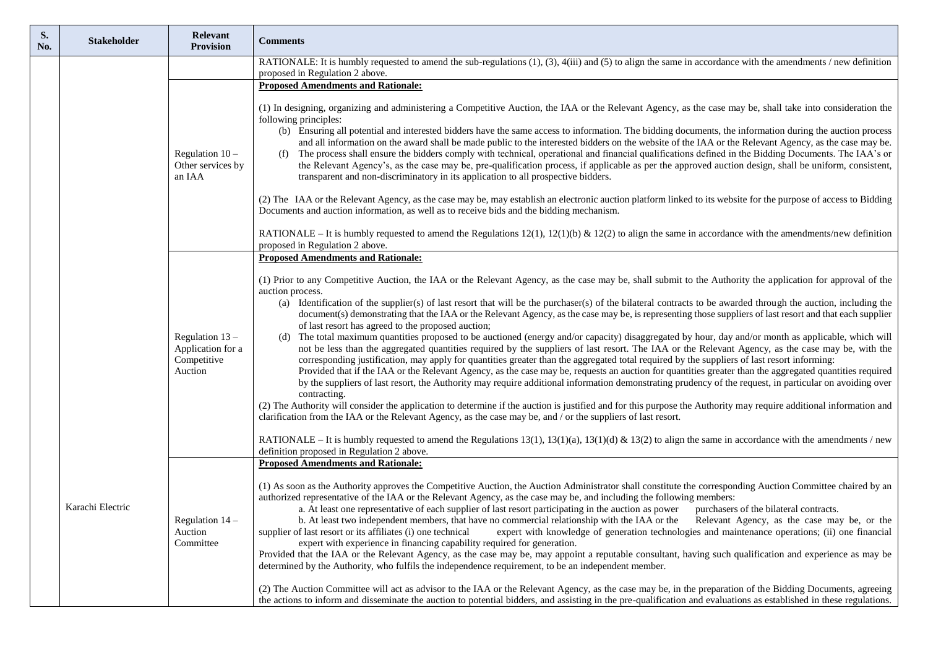| S.<br>No. | <b>Stakeholder</b> | Relevant<br><b>Provision</b>                                     | <b>Comments</b>                                                                                                                                                                                                                                                                                                                                                                                                                                                                                                                                                                                                                                                                                                                                                                                                                                                                                                                                                                                                                                                                                                                                                                                                                                                                                                                                                                                                                                                                                                                                                                                                                                                                                                                                                                                                                                                          |
|-----------|--------------------|------------------------------------------------------------------|--------------------------------------------------------------------------------------------------------------------------------------------------------------------------------------------------------------------------------------------------------------------------------------------------------------------------------------------------------------------------------------------------------------------------------------------------------------------------------------------------------------------------------------------------------------------------------------------------------------------------------------------------------------------------------------------------------------------------------------------------------------------------------------------------------------------------------------------------------------------------------------------------------------------------------------------------------------------------------------------------------------------------------------------------------------------------------------------------------------------------------------------------------------------------------------------------------------------------------------------------------------------------------------------------------------------------------------------------------------------------------------------------------------------------------------------------------------------------------------------------------------------------------------------------------------------------------------------------------------------------------------------------------------------------------------------------------------------------------------------------------------------------------------------------------------------------------------------------------------------------|
|           |                    |                                                                  | RATIONALE: It is humbly requested to amend the sub-regulations (1), (3), 4(iii) and (5) to align the same in accordance with the amendments / new definition<br>proposed in Regulation 2 above.                                                                                                                                                                                                                                                                                                                                                                                                                                                                                                                                                                                                                                                                                                                                                                                                                                                                                                                                                                                                                                                                                                                                                                                                                                                                                                                                                                                                                                                                                                                                                                                                                                                                          |
|           |                    |                                                                  | <b>Proposed Amendments and Rationale:</b>                                                                                                                                                                                                                                                                                                                                                                                                                                                                                                                                                                                                                                                                                                                                                                                                                                                                                                                                                                                                                                                                                                                                                                                                                                                                                                                                                                                                                                                                                                                                                                                                                                                                                                                                                                                                                                |
|           |                    | Regulation $10 -$<br>Other services by<br>an IAA                 | (1) In designing, organizing and administering a Competitive Auction, the IAA or the Relevant Agency, as the case may be, shall take into consideration the<br>following principles:<br>(b) Ensuring all potential and interested bidders have the same access to information. The bidding documents, the information during the auction process<br>and all information on the award shall be made public to the interested bidders on the website of the IAA or the Relevant Agency, as the case may be.<br>The process shall ensure the bidders comply with technical, operational and financial qualifications defined in the Bidding Documents. The IAA's or<br>(f)<br>the Relevant Agency's, as the case may be, pre-qualification process, if applicable as per the approved auction design, shall be uniform, consistent,<br>transparent and non-discriminatory in its application to all prospective bidders.                                                                                                                                                                                                                                                                                                                                                                                                                                                                                                                                                                                                                                                                                                                                                                                                                                                                                                                                                    |
|           |                    |                                                                  | (2) The IAA or the Relevant Agency, as the case may be, may establish an electronic auction platform linked to its website for the purpose of access to Bidding<br>Documents and auction information, as well as to receive bids and the bidding mechanism.                                                                                                                                                                                                                                                                                                                                                                                                                                                                                                                                                                                                                                                                                                                                                                                                                                                                                                                                                                                                                                                                                                                                                                                                                                                                                                                                                                                                                                                                                                                                                                                                              |
|           |                    |                                                                  | RATIONALE – It is humbly requested to amend the Regulations 12(1), 12(1)(b) & 12(2) to align the same in accordance with the amendments/new definition<br>proposed in Regulation 2 above.                                                                                                                                                                                                                                                                                                                                                                                                                                                                                                                                                                                                                                                                                                                                                                                                                                                                                                                                                                                                                                                                                                                                                                                                                                                                                                                                                                                                                                                                                                                                                                                                                                                                                |
|           |                    |                                                                  | <b>Proposed Amendments and Rationale:</b>                                                                                                                                                                                                                                                                                                                                                                                                                                                                                                                                                                                                                                                                                                                                                                                                                                                                                                                                                                                                                                                                                                                                                                                                                                                                                                                                                                                                                                                                                                                                                                                                                                                                                                                                                                                                                                |
|           |                    | Regulation $13 -$<br>Application for a<br>Competitive<br>Auction | (1) Prior to any Competitive Auction, the IAA or the Relevant Agency, as the case may be, shall submit to the Authority the application for approval of the<br>auction process.<br>(a) Identification of the supplier(s) of last resort that will be the purchaser(s) of the bilateral contracts to be awarded through the auction, including the<br>document(s) demonstrating that the IAA or the Relevant Agency, as the case may be, is representing those suppliers of last resort and that each supplier<br>of last resort has agreed to the proposed auction;<br>The total maximum quantities proposed to be auctioned (energy and/or capacity) disaggregated by hour, day and/or month as applicable, which will<br>(d)<br>not be less than the aggregated quantities required by the suppliers of last resort. The IAA or the Relevant Agency, as the case may be, with the<br>corresponding justification, may apply for quantities greater than the aggregated total required by the suppliers of last resort informing:<br>Provided that if the IAA or the Relevant Agency, as the case may be, requests an auction for quantities greater than the aggregated quantities required<br>by the suppliers of last resort, the Authority may require additional information demonstrating prudency of the request, in particular on avoiding over<br>contracting.<br>(2) The Authority will consider the application to determine if the auction is justified and for this purpose the Authority may require additional information and<br>clarification from the IAA or the Relevant Agency, as the case may be, and / or the suppliers of last resort.<br>RATIONALE – It is humbly requested to amend the Regulations 13(1), 13(1)(a), 13(1)(d) & 13(2) to align the same in accordance with the amendments / new<br>definition proposed in Regulation 2 above. |
|           | Karachi Electric   | Regulation 14 -<br>Auction<br>Committee                          | <b>Proposed Amendments and Rationale:</b><br>(1) As soon as the Authority approves the Competitive Auction, the Auction Administrator shall constitute the corresponding Auction Committee chaired by an<br>authorized representative of the IAA or the Relevant Agency, as the case may be, and including the following members:<br>a. At least one representative of each supplier of last resort participating in the auction as power purchasers of the bilateral contracts.<br>b. At least two independent members, that have no commercial relationship with the IAA or the Relevant Agency, as the case may be, or the<br>supplier of last resort or its affiliates (i) one technical<br>expert with knowledge of generation technologies and maintenance operations; (ii) one financial<br>expert with experience in financing capability required for generation.<br>Provided that the IAA or the Relevant Agency, as the case may be, may appoint a reputable consultant, having such qualification and experience as may be<br>determined by the Authority, who fulfils the independence requirement, to be an independent member.<br>(2) The Auction Committee will act as advisor to the IAA or the Relevant Agency, as the case may be, in the preparation of the Bidding Documents, agreeing<br>the actions to inform and disseminate the auction to potential bidders, and assisting in the pre-qualification and evaluations as established in these regulations.                                                                                                                                                                                                                                                                                                                                                                                       |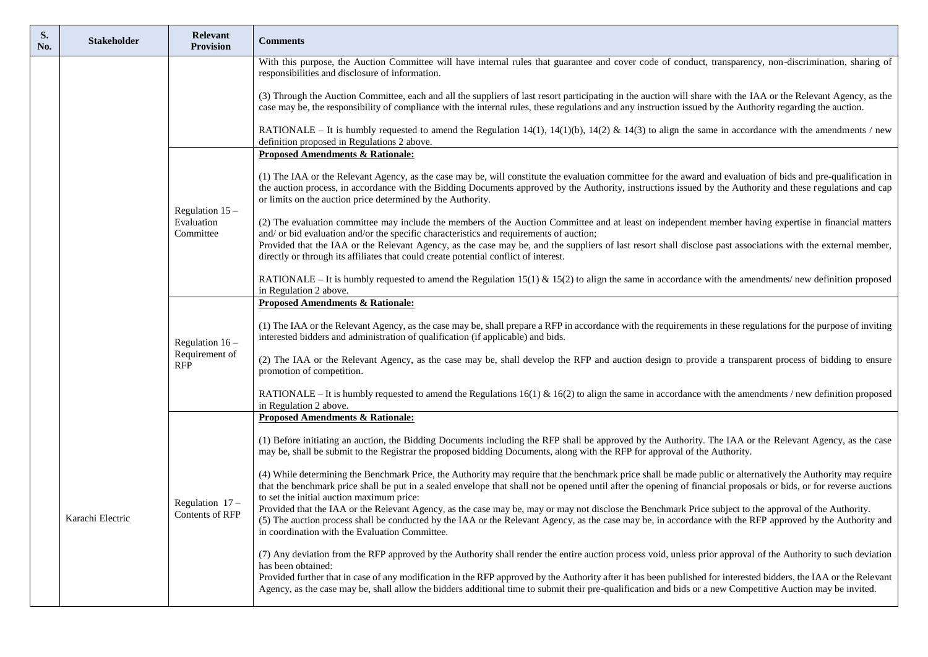| S.<br>No. | <b>Stakeholder</b> | Relevant<br><b>Provision</b>              | <b>Comments</b>                                                                                                                                                                                                                                                                                                                                                                              |
|-----------|--------------------|-------------------------------------------|----------------------------------------------------------------------------------------------------------------------------------------------------------------------------------------------------------------------------------------------------------------------------------------------------------------------------------------------------------------------------------------------|
|           |                    |                                           | With this purpose, the Auction Committee will have internal rules that guarantee and cover code of conduct, transparency, non-discrimination, sharing of<br>responsibilities and disclosure of information.                                                                                                                                                                                  |
|           |                    |                                           | (3) Through the Auction Committee, each and all the suppliers of last resort participating in the auction will share with the IAA or the Relevant Agency, as the<br>case may be, the responsibility of compliance with the internal rules, these regulations and any instruction issued by the Authority regarding the auction.                                                              |
|           |                    |                                           | RATIONALE – It is humbly requested to amend the Regulation 14(1), 14(1)(b), 14(2) & 14(3) to align the same in accordance with the amendments / new<br>definition proposed in Regulations 2 above.                                                                                                                                                                                           |
|           |                    |                                           | <b>Proposed Amendments &amp; Rationale:</b>                                                                                                                                                                                                                                                                                                                                                  |
|           |                    | Regulation $15-$                          | (1) The IAA or the Relevant Agency, as the case may be, will constitute the evaluation committee for the award and evaluation of bids and pre-qualification in<br>the auction process, in accordance with the Bidding Documents approved by the Authority, instructions issued by the Authority and these regulations and cap<br>or limits on the auction price determined by the Authority. |
|           |                    | Evaluation<br>Committee                   | (2) The evaluation committee may include the members of the Auction Committee and at least on independent member having expertise in financial matters<br>and/ or bid evaluation and/or the specific characteristics and requirements of auction;                                                                                                                                            |
|           |                    |                                           | Provided that the IAA or the Relevant Agency, as the case may be, and the suppliers of last resort shall disclose past associations with the external member,<br>directly or through its affiliates that could create potential conflict of interest.                                                                                                                                        |
|           |                    |                                           | RATIONALE – It is humbly requested to amend the Regulation 15(1) & 15(2) to align the same in accordance with the amendments/ new definition proposed<br>in Regulation 2 above.                                                                                                                                                                                                              |
|           |                    |                                           | <b>Proposed Amendments &amp; Rationale:</b>                                                                                                                                                                                                                                                                                                                                                  |
|           |                    | Regulation $16-$<br>Requirement of<br>RFP | (1) The IAA or the Relevant Agency, as the case may be, shall prepare a RFP in accordance with the requirements in these regulations for the purpose of inviting<br>interested bidders and administration of qualification (if applicable) and bids.                                                                                                                                         |
|           |                    |                                           | (2) The IAA or the Relevant Agency, as the case may be, shall develop the RFP and auction design to provide a transparent process of bidding to ensure<br>promotion of competition.                                                                                                                                                                                                          |
|           |                    |                                           | RATIONALE – It is humbly requested to amend the Regulations 16(1) & 16(2) to align the same in accordance with the amendments / new definition proposed<br>in Regulation 2 above.                                                                                                                                                                                                            |
|           |                    |                                           | <b>Proposed Amendments &amp; Rationale:</b>                                                                                                                                                                                                                                                                                                                                                  |
|           |                    |                                           | (1) Before initiating an auction, the Bidding Documents including the RFP shall be approved by the Authority. The IAA or the Relevant Agency, as the case<br>may be, shall be submit to the Registrar the proposed bidding Documents, along with the RFP for approval of the Authority.                                                                                                      |
|           |                    |                                           | (4) While determining the Benchmark Price, the Authority may require that the benchmark price shall be made public or alternatively the Authority may require<br>that the benchmark price shall be put in a sealed envelope that shall not be opened until after the opening of financial proposals or bids, or for reverse auctions<br>to set the initial auction maximum price:            |
|           | Karachi Electric   | Regulation $17$ –<br>Contents of RFP      | Provided that the IAA or the Relevant Agency, as the case may be, may or may not disclose the Benchmark Price subject to the approval of the Authority.<br>(5) The auction process shall be conducted by the IAA or the Relevant Agency, as the case may be, in accordance with the RFP approved by the Authority and<br>in coordination with the Evaluation Committee.                      |
|           |                    |                                           | (7) Any deviation from the RFP approved by the Authority shall render the entire auction process void, unless prior approval of the Authority to such deviation<br>has been obtained:<br>Provided further that in case of any modification in the RFP approved by the Authority after it has been published for interested bidders, the IAA or the Relevant                                  |
|           |                    |                                           | Agency, as the case may be, shall allow the bidders additional time to submit their pre-qualification and bids or a new Competitive Auction may be invited.                                                                                                                                                                                                                                  |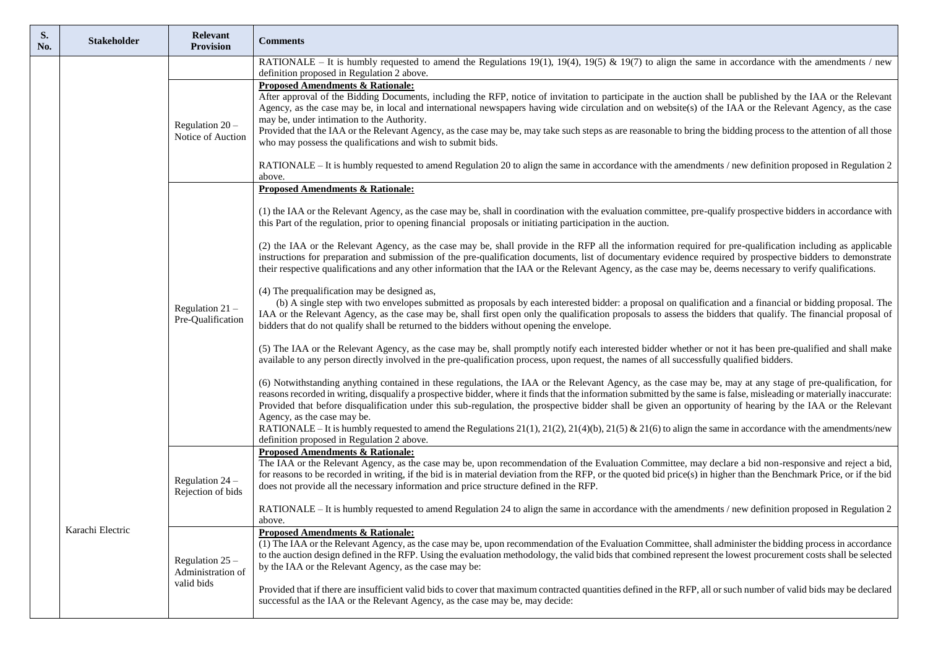| S.<br>No. | <b>Stakeholder</b> | <b>Relevant</b><br><b>Provision</b>                  | <b>Comments</b>                                                                                                                                                                                                                                                                                                                                                                                                                                                                                                                                                                                                                                              |
|-----------|--------------------|------------------------------------------------------|--------------------------------------------------------------------------------------------------------------------------------------------------------------------------------------------------------------------------------------------------------------------------------------------------------------------------------------------------------------------------------------------------------------------------------------------------------------------------------------------------------------------------------------------------------------------------------------------------------------------------------------------------------------|
|           |                    |                                                      | RATIONALE – It is humbly requested to amend the Regulations 19(1), 19(4), 19(5) & 19(7) to align the same in accordance with the amendments / new<br>definition proposed in Regulation 2 above.                                                                                                                                                                                                                                                                                                                                                                                                                                                              |
|           |                    | Regulation 20 -<br>Notice of Auction                 | <b>Proposed Amendments &amp; Rationale:</b><br>After approval of the Bidding Documents, including the RFP, notice of invitation to participate in the auction shall be published by the IAA or the Relevant<br>Agency, as the case may be, in local and international newspapers having wide circulation and on website(s) of the IAA or the Relevant Agency, as the case<br>may be, under intimation to the Authority.<br>Provided that the IAA or the Relevant Agency, as the case may be, may take such steps as are reasonable to bring the bidding process to the attention of all those<br>who may possess the qualifications and wish to submit bids. |
|           |                    |                                                      | RATIONALE – It is humbly requested to amend Regulation 20 to align the same in accordance with the amendments / new definition proposed in Regulation 2<br>above.                                                                                                                                                                                                                                                                                                                                                                                                                                                                                            |
|           |                    |                                                      | <b>Proposed Amendments &amp; Rationale:</b>                                                                                                                                                                                                                                                                                                                                                                                                                                                                                                                                                                                                                  |
|           |                    |                                                      | (1) the IAA or the Relevant Agency, as the case may be, shall in coordination with the evaluation committee, pre-qualify prospective bidders in accordance with<br>this Part of the regulation, prior to opening financial proposals or initiating participation in the auction.                                                                                                                                                                                                                                                                                                                                                                             |
|           |                    | Regulation $21 -$<br>Pre-Qualification               | (2) the IAA or the Relevant Agency, as the case may be, shall provide in the RFP all the information required for pre-qualification including as applicable<br>instructions for preparation and submission of the pre-qualification documents, list of documentary evidence required by prospective bidders to demonstrate<br>their respective qualifications and any other information that the IAA or the Relevant Agency, as the case may be, deems necessary to verify qualifications.                                                                                                                                                                   |
|           |                    |                                                      | (4) The prequalification may be designed as,<br>(b) A single step with two envelopes submitted as proposals by each interested bidder: a proposal on qualification and a financial or bidding proposal. The<br>IAA or the Relevant Agency, as the case may be, shall first open only the qualification proposals to assess the bidders that qualify. The financial proposal of<br>bidders that do not qualify shall be returned to the bidders without opening the envelope.                                                                                                                                                                                 |
|           |                    |                                                      | (5) The IAA or the Relevant Agency, as the case may be, shall promptly notify each interested bidder whether or not it has been pre-qualified and shall make<br>available to any person directly involved in the pre-qualification process, upon request, the names of all successfully qualified bidders.                                                                                                                                                                                                                                                                                                                                                   |
|           |                    |                                                      | (6) Notwithstanding anything contained in these regulations, the IAA or the Relevant Agency, as the case may be, may at any stage of pre-qualification, for<br>reasons recorded in writing, disqualify a prospective bidder, where it finds that the information submitted by the same is false, misleading or materially inaccurate:<br>Provided that before disqualification under this sub-regulation, the prospective bidder shall be given an opportunity of hearing by the IAA or the Relevant<br>Agency, as the case may be.                                                                                                                          |
|           |                    |                                                      | RATIONALE – It is humbly requested to amend the Regulations 21(1), 21(2), 21(4)(b), 21(5) & 21(6) to align the same in accordance with the amendments/new<br>definition proposed in Regulation 2 above.                                                                                                                                                                                                                                                                                                                                                                                                                                                      |
|           |                    | Regulation $24$ –<br>Rejection of bids               | <b>Proposed Amendments &amp; Rationale:</b><br>The IAA or the Relevant Agency, as the case may be, upon recommendation of the Evaluation Committee, may declare a bid non-responsive and reject a bid,<br>for reasons to be recorded in writing, if the bid is in material deviation from the RFP, or the quoted bid price(s) in higher than the Benchmark Price, or if the bid<br>does not provide all the necessary information and price structure defined in the RFP.                                                                                                                                                                                    |
|           |                    |                                                      | RATIONALE – It is humbly requested to amend Regulation 24 to align the same in accordance with the amendments / new definition proposed in Regulation 2<br>above.                                                                                                                                                                                                                                                                                                                                                                                                                                                                                            |
|           | Karachi Electric   | Regulation $25 -$<br>Administration of<br>valid bids | <b>Proposed Amendments &amp; Rationale:</b><br>(1) The IAA or the Relevant Agency, as the case may be, upon recommendation of the Evaluation Committee, shall administer the bidding process in accordance<br>to the auction design defined in the RFP. Using the evaluation methodology, the valid bids that combined represent the lowest procurement costs shall be selected<br>by the IAA or the Relevant Agency, as the case may be:                                                                                                                                                                                                                    |
|           |                    |                                                      | Provided that if there are insufficient valid bids to cover that maximum contracted quantities defined in the RFP, all or such number of valid bids may be declared<br>successful as the IAA or the Relevant Agency, as the case may be, may decide:                                                                                                                                                                                                                                                                                                                                                                                                         |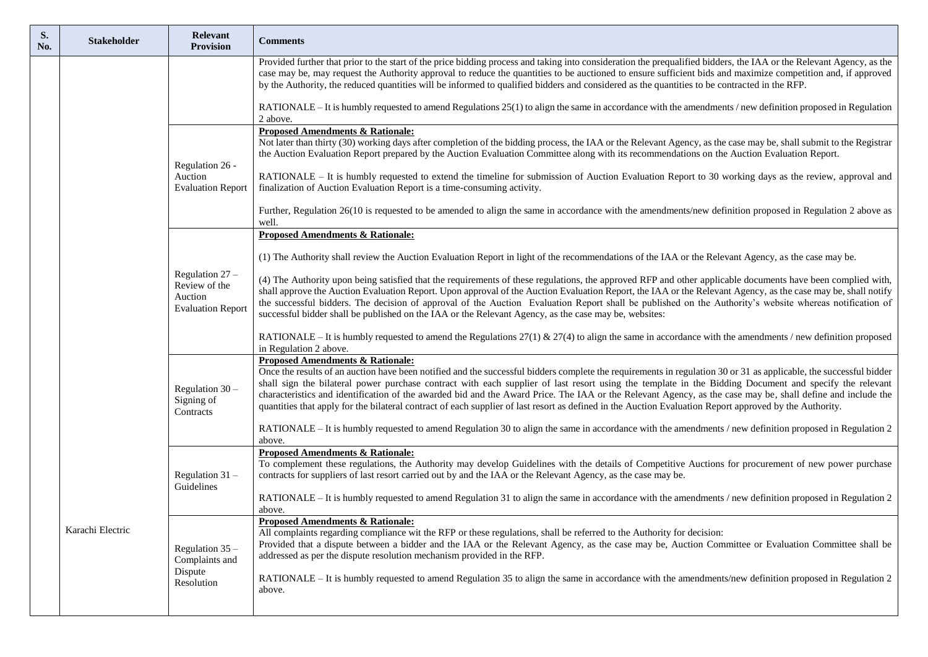| S.<br>No. | <b>Stakeholder</b> | <b>Relevant</b><br><b>Provision</b>                                       | <b>Comments</b>                                                                                                                                                                                                                                                                                                                                                                                                                                                                                                                                                                                                                                                                                       |
|-----------|--------------------|---------------------------------------------------------------------------|-------------------------------------------------------------------------------------------------------------------------------------------------------------------------------------------------------------------------------------------------------------------------------------------------------------------------------------------------------------------------------------------------------------------------------------------------------------------------------------------------------------------------------------------------------------------------------------------------------------------------------------------------------------------------------------------------------|
|           |                    |                                                                           | Provided further that prior to the start of the price bidding process and taking into consideration the prequalified bidders, the IAA or the Relevant Agency, as the<br>case may be, may request the Authority approval to reduce the quantities to be auctioned to ensure sufficient bids and maximize competition and, if approved<br>by the Authority, the reduced quantities will be informed to qualified bidders and considered as the quantities to be contracted in the RFP.                                                                                                                                                                                                                  |
|           |                    |                                                                           | RATIONALE - It is humbly requested to amend Regulations 25(1) to align the same in accordance with the amendments / new definition proposed in Regulation<br>2 above.                                                                                                                                                                                                                                                                                                                                                                                                                                                                                                                                 |
|           |                    | Regulation 26 -                                                           | <b>Proposed Amendments &amp; Rationale:</b><br>Not later than thirty (30) working days after completion of the bidding process, the IAA or the Relevant Agency, as the case may be, shall submit to the Registrar<br>the Auction Evaluation Report prepared by the Auction Evaluation Committee along with its recommendations on the Auction Evaluation Report.                                                                                                                                                                                                                                                                                                                                      |
|           |                    | Auction<br><b>Evaluation Report</b>                                       | RATIONALE – It is humbly requested to extend the timeline for submission of Auction Evaluation Report to 30 working days as the review, approval and<br>finalization of Auction Evaluation Report is a time-consuming activity.                                                                                                                                                                                                                                                                                                                                                                                                                                                                       |
|           |                    |                                                                           | Further, Regulation 26(10 is requested to be amended to align the same in accordance with the amendments/new definition proposed in Regulation 2 above as<br>well.                                                                                                                                                                                                                                                                                                                                                                                                                                                                                                                                    |
|           |                    |                                                                           | <b>Proposed Amendments &amp; Rationale:</b>                                                                                                                                                                                                                                                                                                                                                                                                                                                                                                                                                                                                                                                           |
|           |                    |                                                                           | (1) The Authority shall review the Auction Evaluation Report in light of the recommendations of the IAA or the Relevant Agency, as the case may be.                                                                                                                                                                                                                                                                                                                                                                                                                                                                                                                                                   |
|           |                    | Regulation $27 -$<br>Review of the<br>Auction<br><b>Evaluation Report</b> | (4) The Authority upon being satisfied that the requirements of these regulations, the approved RFP and other applicable documents have been complied with,<br>shall approve the Auction Evaluation Report. Upon approval of the Auction Evaluation Report, the IAA or the Relevant Agency, as the case may be, shall notify<br>the successful bidders. The decision of approval of the Auction Evaluation Report shall be published on the Authority's website whereas notification of<br>successful bidder shall be published on the IAA or the Relevant Agency, as the case may be, websites:                                                                                                      |
|           |                    |                                                                           | RATIONALE – It is humbly requested to amend the Regulations 27(1) & 27(4) to align the same in accordance with the amendments / new definition proposed<br>in Regulation 2 above.                                                                                                                                                                                                                                                                                                                                                                                                                                                                                                                     |
|           |                    | Regulation $30 -$<br>Signing of<br>Contracts                              | <b>Proposed Amendments &amp; Rationale:</b><br>Once the results of an auction have been notified and the successful bidders complete the requirements in regulation 30 or 31 as applicable, the successful bidder<br>shall sign the bilateral power purchase contract with each supplier of last resort using the template in the Bidding Document and specify the relevant<br>characteristics and identification of the awarded bid and the Award Price. The IAA or the Relevant Agency, as the case may be, shall define and include the<br>quantities that apply for the bilateral contract of each supplier of last resort as defined in the Auction Evaluation Report approved by the Authority. |
|           |                    |                                                                           | RATIONALE – It is humbly requested to amend Regulation 30 to align the same in accordance with the amendments / new definition proposed in Regulation 2<br>above.                                                                                                                                                                                                                                                                                                                                                                                                                                                                                                                                     |
|           |                    | Regulation $31 -$<br>Guidelines                                           | <b>Proposed Amendments &amp; Rationale:</b>                                                                                                                                                                                                                                                                                                                                                                                                                                                                                                                                                                                                                                                           |
|           |                    |                                                                           | To complement these regulations, the Authority may develop Guidelines with the details of Competitive Auctions for procurement of new power purchase<br>contracts for suppliers of last resort carried out by and the IAA or the Relevant Agency, as the case may be.                                                                                                                                                                                                                                                                                                                                                                                                                                 |
|           |                    |                                                                           | RATIONALE – It is humbly requested to amend Regulation 31 to align the same in accordance with the amendments / new definition proposed in Regulation 2<br>above.                                                                                                                                                                                                                                                                                                                                                                                                                                                                                                                                     |
|           | Karachi Electric   | Regulation $35 -$<br>Complaints and                                       | <b>Proposed Amendments &amp; Rationale:</b><br>All complaints regarding compliance wit the RFP or these regulations, shall be referred to the Authority for decision:<br>Provided that a dispute between a bidder and the IAA or the Relevant Agency, as the case may be, Auction Committee or Evaluation Committee shall be<br>addressed as per the dispute resolution mechanism provided in the RFP.                                                                                                                                                                                                                                                                                                |
|           |                    | Dispute<br>Resolution                                                     | RATIONALE – It is humbly requested to amend Regulation 35 to align the same in accordance with the amendments/new definition proposed in Regulation 2<br>above.                                                                                                                                                                                                                                                                                                                                                                                                                                                                                                                                       |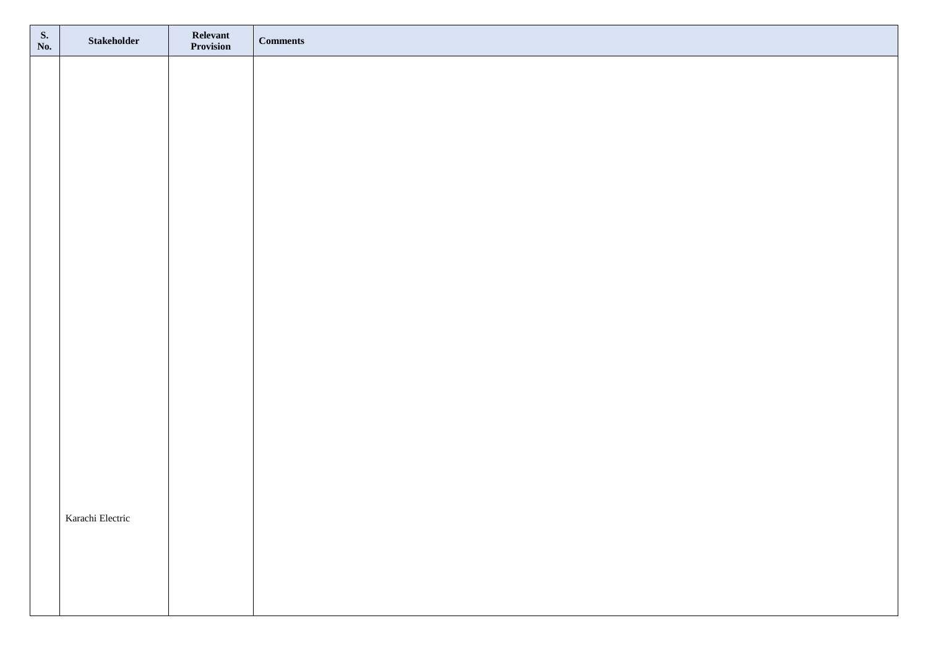| S.<br>No. | Stakeholder      | <b>Relevant</b><br><b>Provision</b> | <b>Comments</b> |
|-----------|------------------|-------------------------------------|-----------------|
|           |                  |                                     |                 |
|           |                  |                                     |                 |
|           |                  |                                     |                 |
|           |                  |                                     |                 |
|           |                  |                                     |                 |
|           |                  |                                     |                 |
|           |                  |                                     |                 |
|           |                  |                                     |                 |
|           |                  |                                     |                 |
|           |                  |                                     |                 |
|           |                  |                                     |                 |
|           |                  |                                     |                 |
|           |                  |                                     |                 |
|           |                  |                                     |                 |
|           |                  |                                     |                 |
|           |                  |                                     |                 |
|           | Karachi Electric |                                     |                 |
|           |                  |                                     |                 |
|           |                  |                                     |                 |
|           |                  |                                     |                 |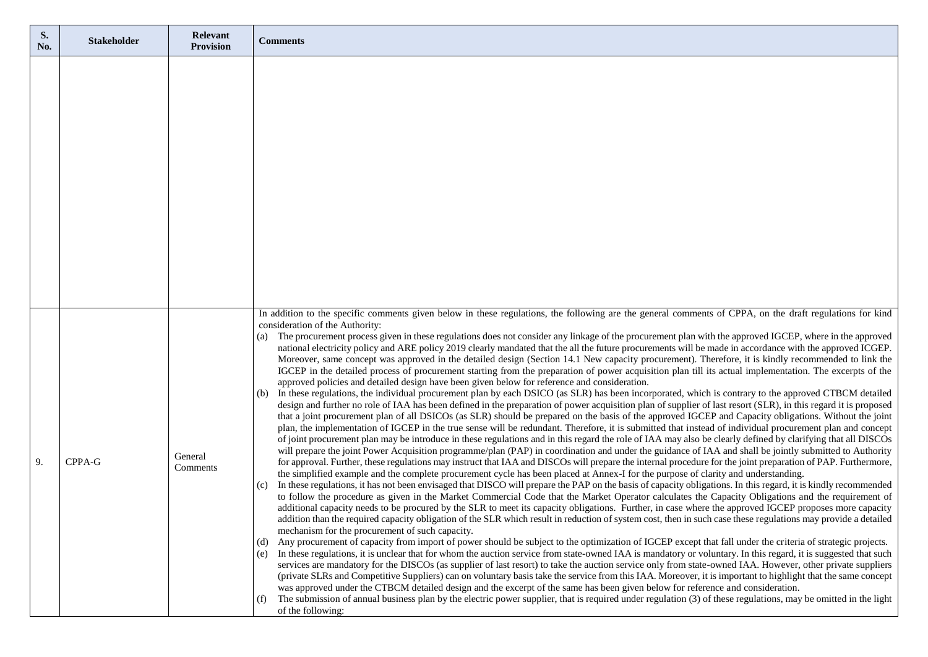| S.<br>No. | <b>Stakeholder</b> | Relevant<br><b>Provision</b> | <b>Comments</b>                                                                                                                                                                                                                                                                                                                                                                                                                                                                                                                                                                                                                                                                                                                                                                                                                                                                                                                                                                                                                                                                                                                                                                                                                                                                                                                                                                                                                                                                                                                                                                                                                                                                                                                                                                                                                                                                                                                                                                                                                                                                                                                                                                                                                                                                                                                                                                                                                                                                                                                                                                                                                                                                                                                                                                                                                                                                                                                                                                                                                                                                                                                                                                                                                                                                                                                                                                                                                                                                                                                                                                                                                                                                                                                                                                                                                                                                                                                                        |
|-----------|--------------------|------------------------------|--------------------------------------------------------------------------------------------------------------------------------------------------------------------------------------------------------------------------------------------------------------------------------------------------------------------------------------------------------------------------------------------------------------------------------------------------------------------------------------------------------------------------------------------------------------------------------------------------------------------------------------------------------------------------------------------------------------------------------------------------------------------------------------------------------------------------------------------------------------------------------------------------------------------------------------------------------------------------------------------------------------------------------------------------------------------------------------------------------------------------------------------------------------------------------------------------------------------------------------------------------------------------------------------------------------------------------------------------------------------------------------------------------------------------------------------------------------------------------------------------------------------------------------------------------------------------------------------------------------------------------------------------------------------------------------------------------------------------------------------------------------------------------------------------------------------------------------------------------------------------------------------------------------------------------------------------------------------------------------------------------------------------------------------------------------------------------------------------------------------------------------------------------------------------------------------------------------------------------------------------------------------------------------------------------------------------------------------------------------------------------------------------------------------------------------------------------------------------------------------------------------------------------------------------------------------------------------------------------------------------------------------------------------------------------------------------------------------------------------------------------------------------------------------------------------------------------------------------------------------------------------------------------------------------------------------------------------------------------------------------------------------------------------------------------------------------------------------------------------------------------------------------------------------------------------------------------------------------------------------------------------------------------------------------------------------------------------------------------------------------------------------------------------------------------------------------------------------------------------------------------------------------------------------------------------------------------------------------------------------------------------------------------------------------------------------------------------------------------------------------------------------------------------------------------------------------------------------------------------------------------------------------------------------------------------------------------|
|           |                    |                              |                                                                                                                                                                                                                                                                                                                                                                                                                                                                                                                                                                                                                                                                                                                                                                                                                                                                                                                                                                                                                                                                                                                                                                                                                                                                                                                                                                                                                                                                                                                                                                                                                                                                                                                                                                                                                                                                                                                                                                                                                                                                                                                                                                                                                                                                                                                                                                                                                                                                                                                                                                                                                                                                                                                                                                                                                                                                                                                                                                                                                                                                                                                                                                                                                                                                                                                                                                                                                                                                                                                                                                                                                                                                                                                                                                                                                                                                                                                                                        |
| 9.        | CPPA-G             | General<br>Comments          | In addition to the specific comments given below in these regulations, the following are the general comments of CPPA, on the draft regulations for kind<br>consideration of the Authority:<br>(a) The procurement process given in these regulations does not consider any linkage of the procurement plan with the approved IGCEP, where in the approved<br>national electricity policy and ARE policy 2019 clearly mandated that the all the future procurements will be made in accordance with the approved ICGEP.<br>Moreover, same concept was approved in the detailed design (Section 14.1 New capacity procurement). Therefore, it is kindly recommended to link the<br>IGCEP in the detailed process of procurement starting from the preparation of power acquisition plan till its actual implementation. The excerpts of the<br>approved policies and detailed design have been given below for reference and consideration.<br>(b) In these regulations, the individual procurement plan by each DSICO (as SLR) has been incorporated, which is contrary to the approved CTBCM detailed<br>design and further no role of IAA has been defined in the preparation of power acquisition plan of supplier of last resort (SLR), in this regard it is proposed<br>that a joint procurement plan of all DSICOs (as SLR) should be prepared on the basis of the approved IGCEP and Capacity obligations. Without the joint<br>plan, the implementation of IGCEP in the true sense will be redundant. Therefore, it is submitted that instead of individual procurement plan and concept<br>of joint procurement plan may be introduce in these regulations and in this regard the role of IAA may also be clearly defined by clarifying that all DISCOs<br>will prepare the joint Power Acquisition programme/plan (PAP) in coordination and under the guidance of IAA and shall be jointly submitted to Authority<br>for approval. Further, these regulations may instruct that IAA and DISCOs will prepare the internal procedure for the joint preparation of PAP. Furthermore,<br>the simplified example and the complete procurement cycle has been placed at Annex-I for the purpose of clarity and understanding.<br>(c) In these regulations, it has not been envisaged that DISCO will prepare the PAP on the basis of capacity obligations. In this regard, it is kindly recommended<br>to follow the procedure as given in the Market Commercial Code that the Market Operator calculates the Capacity Obligations and the requirement of<br>additional capacity needs to be procured by the SLR to meet its capacity obligations. Further, in case where the approved IGCEP proposes more capacity<br>addition than the required capacity obligation of the SLR which result in reduction of system cost, then in such case these regulations may provide a detailed<br>mechanism for the procurement of such capacity.<br>Any procurement of capacity from import of power should be subject to the optimization of IGCEP except that fall under the criteria of strategic projects.<br>(d)<br>(e) In these regulations, it is unclear that for whom the auction service from state-owned IAA is mandatory or voluntary. In this regard, it is suggested that such<br>services are mandatory for the DISCOs (as supplier of last resort) to take the auction service only from state-owned IAA. However, other private suppliers<br>(private SLRs and Competitive Suppliers) can on voluntary basis take the service from this IAA. Moreover, it is important to highlight that the same concept<br>was approved under the CTBCM detailed design and the excerpt of the same has been given below for reference and consideration.<br>The submission of annual business plan by the electric power supplier, that is required under regulation (3) of these regulations, may be omitted in the light<br>(f)<br>of the following: |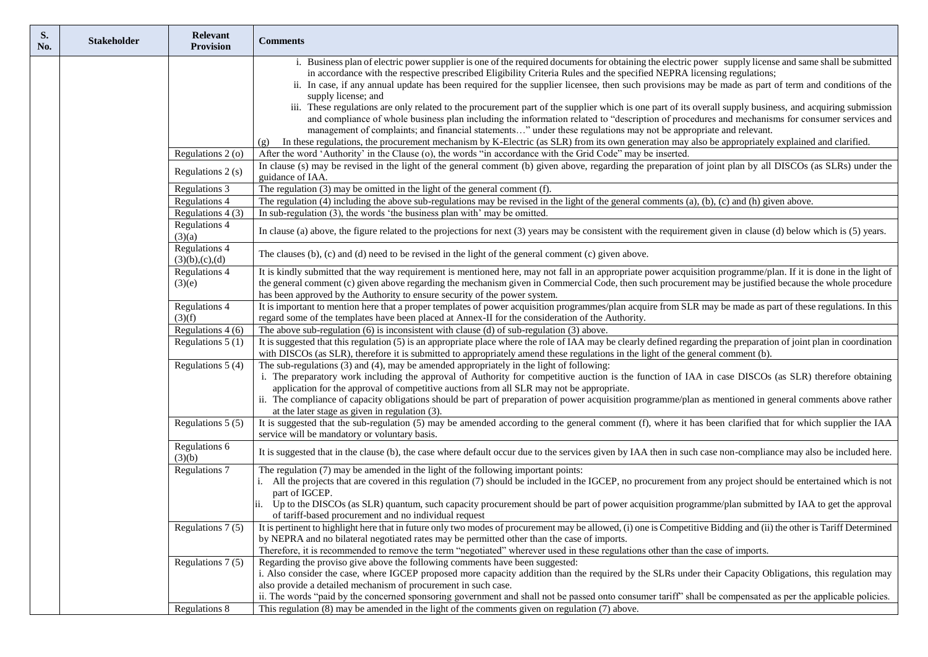| S.<br>No. | <b>Stakeholder</b> | <b>Relevant</b><br><b>Provision</b> | <b>Comments</b>                                                                                                                                                                                                                                                                 |
|-----------|--------------------|-------------------------------------|---------------------------------------------------------------------------------------------------------------------------------------------------------------------------------------------------------------------------------------------------------------------------------|
|           |                    |                                     | i. Business plan of electric power supplier is one of the required documents for obtaining the electric power supply license and same shall be submitted                                                                                                                        |
|           |                    |                                     | in accordance with the respective prescribed Eligibility Criteria Rules and the specified NEPRA licensing regulations;<br>ii. In case, if any annual update has been required for the supplier licensee, then such provisions may be made as part of term and conditions of the |
|           |                    |                                     | supply license; and                                                                                                                                                                                                                                                             |
|           |                    |                                     | iii. These regulations are only related to the procurement part of the supplier which is one part of its overall supply business, and acquiring submission                                                                                                                      |
|           |                    |                                     | and compliance of whole business plan including the information related to "description of procedures and mechanisms for consumer services and                                                                                                                                  |
|           |                    |                                     | management of complaints; and financial statements" under these regulations may not be appropriate and relevant.<br>In these regulations, the procurement mechanism by K-Electric (as SLR) from its own generation may also be appropriately explained and clarified.           |
|           |                    | Regulations 2 (o)                   | (g)<br>After the word 'Authority' in the Clause (o), the words "in accordance with the Grid Code" may be inserted.                                                                                                                                                              |
|           |                    |                                     | In clause (s) may be revised in the light of the general comment (b) given above, regarding the preparation of joint plan by all DISCOs (as SLRs) under the                                                                                                                     |
|           |                    | Regulations 2 (s)                   | guidance of IAA.                                                                                                                                                                                                                                                                |
|           |                    | Regulations 3                       | The regulation $(3)$ may be omitted in the light of the general comment $(f)$ .                                                                                                                                                                                                 |
|           |                    | Regulations 4                       | The regulation $(4)$ including the above sub-regulations may be revised in the light of the general comments $(a)$ , $(b)$ , $(c)$ and $(h)$ given above.                                                                                                                       |
|           |                    | Regulations $4(3)$                  | In sub-regulation (3), the words 'the business plan with' may be omitted.                                                                                                                                                                                                       |
|           |                    | Regulations 4<br>(3)(a)             | In clause (a) above, the figure related to the projections for next (3) years may be consistent with the requirement given in clause (d) below which is (5) years.                                                                                                              |
|           |                    | Regulations 4<br>(3)(b),(c),(d)     | The clauses (b), (c) and (d) need to be revised in the light of the general comment (c) given above.                                                                                                                                                                            |
|           |                    | Regulations 4                       | It is kindly submitted that the way requirement is mentioned here, may not fall in an appropriate power acquisition programme/plan. If it is done in the light of                                                                                                               |
|           |                    | (3)(e)                              | the general comment (c) given above regarding the mechanism given in Commercial Code, then such procurement may be justified because the whole procedure<br>has been approved by the Authority to ensure security of the power system.                                          |
|           |                    | Regulations 4                       | It is important to mention here that a proper templates of power acquisition programmes/plan acquire from SLR may be made as part of these regulations. In this                                                                                                                 |
|           |                    | (3)(f)                              | regard some of the templates have been placed at Annex-II for the consideration of the Authority.                                                                                                                                                                               |
|           |                    | Regulations 4 (6)                   | The above sub-regulation $(6)$ is inconsistent with clause $(d)$ of sub-regulation $(3)$ above.                                                                                                                                                                                 |
|           |                    | Regulations $5(1)$                  | It is suggested that this regulation (5) is an appropriate place where the role of IAA may be clearly defined regarding the preparation of joint plan in coordination                                                                                                           |
|           |                    |                                     | with DISCOs (as SLR), therefore it is submitted to appropriately amend these regulations in the light of the general comment (b).                                                                                                                                               |
|           |                    | Regulations 5 (4)                   | The sub-regulations (3) and (4), may be amended appropriately in the light of following:<br>i. The preparatory work including the approval of Authority for competitive auction is the function of IAA in case DISCOs (as SLR) therefore obtaining                              |
|           |                    |                                     | application for the approval of competitive auctions from all SLR may not be appropriate.                                                                                                                                                                                       |
|           |                    |                                     | ii. The compliance of capacity obligations should be part of preparation of power acquisition programme/plan as mentioned in general comments above rather                                                                                                                      |
|           |                    |                                     | at the later stage as given in regulation (3).                                                                                                                                                                                                                                  |
|           |                    | Regulations 5 (5)                   | It is suggested that the sub-regulation (5) may be amended according to the general comment (f), where it has been clarified that for which supplier the IAA<br>service will be mandatory or voluntary basis.                                                                   |
|           |                    | Regulations 6<br>(3)(b)             | It is suggested that in the clause (b), the case where default occur due to the services given by IAA then in such case non-compliance may also be included here.                                                                                                               |
|           |                    | Regulations 7                       | The regulation (7) may be amended in the light of the following important points:                                                                                                                                                                                               |
|           |                    |                                     | i. All the projects that are covered in this regulation (7) should be included in the IGCEP, no procurement from any project should be entertained which is not<br>part of IGCEP.                                                                                               |
|           |                    |                                     | Up to the DISCOs (as SLR) quantum, such capacity procurement should be part of power acquisition programme/plan submitted by IAA to get the approval                                                                                                                            |
|           |                    |                                     | of tariff-based procurement and no individual request                                                                                                                                                                                                                           |
|           |                    | Regulations 7 (5)                   | It is pertinent to highlight here that in future only two modes of procurement may be allowed, (i) one is Competitive Bidding and (ii) the other is Tariff Determined                                                                                                           |
|           |                    |                                     | by NEPRA and no bilateral negotiated rates may be permitted other than the case of imports.                                                                                                                                                                                     |
|           |                    | Regulations $7(5)$                  | Therefore, it is recommended to remove the term "negotiated" wherever used in these regulations other than the case of imports.<br>Regarding the proviso give above the following comments have been suggested:                                                                 |
|           |                    |                                     | i. Also consider the case, where IGCEP proposed more capacity addition than the required by the SLRs under their Capacity Obligations, this regulation may                                                                                                                      |
|           |                    |                                     | also provide a detailed mechanism of procurement in such case.                                                                                                                                                                                                                  |
|           |                    |                                     | ii. The words "paid by the concerned sponsoring government and shall not be passed onto consumer tariff" shall be compensated as per the applicable policies.                                                                                                                   |
|           |                    | <b>Regulations 8</b>                | This regulation $(8)$ may be amended in the light of the comments given on regulation $(7)$ above.                                                                                                                                                                              |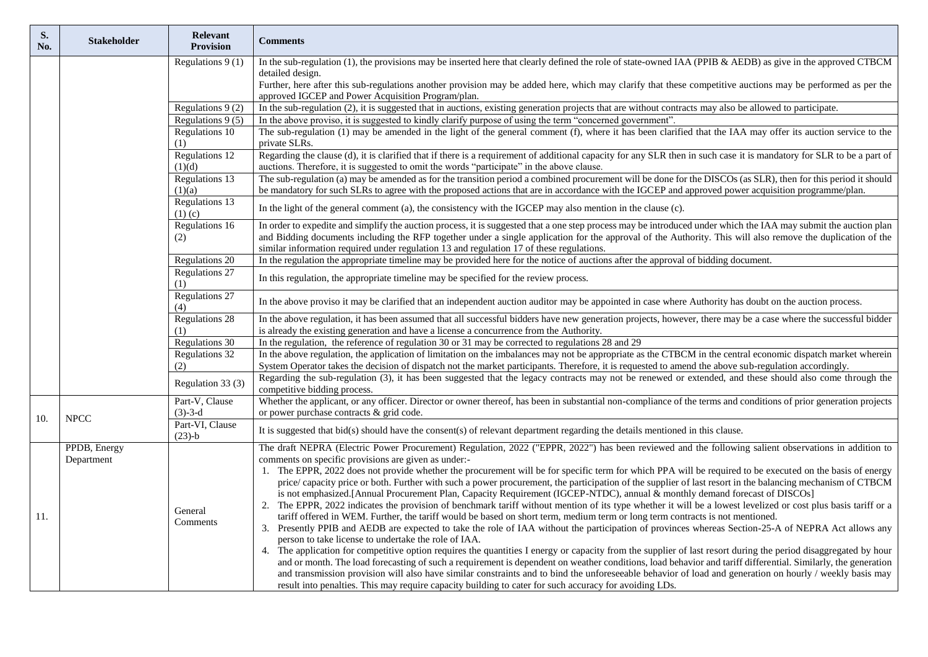| <b>Stakeholder</b> | Relevant<br><b>Provision</b> | <b>Comments</b>                                                                                                                                                                                                                                                                                                                                                                                                                                                                                                                                                                                                                                                                                                                                                                                                                                                                                                                                                                                                                                                                                                                                                                                                                                                                                                                                                                                                                                                                                                                                                                                                                                                                                                                                                                                  |
|--------------------|------------------------------|--------------------------------------------------------------------------------------------------------------------------------------------------------------------------------------------------------------------------------------------------------------------------------------------------------------------------------------------------------------------------------------------------------------------------------------------------------------------------------------------------------------------------------------------------------------------------------------------------------------------------------------------------------------------------------------------------------------------------------------------------------------------------------------------------------------------------------------------------------------------------------------------------------------------------------------------------------------------------------------------------------------------------------------------------------------------------------------------------------------------------------------------------------------------------------------------------------------------------------------------------------------------------------------------------------------------------------------------------------------------------------------------------------------------------------------------------------------------------------------------------------------------------------------------------------------------------------------------------------------------------------------------------------------------------------------------------------------------------------------------------------------------------------------------------|
|                    | Regulations $9(1)$           | In the sub-regulation (1), the provisions may be inserted here that clearly defined the role of state-owned IAA (PPIB & AEDB) as give in the approved CTBCM<br>detailed design.<br>Further, here after this sub-regulations another provision may be added here, which may clarify that these competitive auctions may be performed as per the<br>approved IGCEP and Power Acquisition Program/plan.                                                                                                                                                                                                                                                                                                                                                                                                                                                                                                                                                                                                                                                                                                                                                                                                                                                                                                                                                                                                                                                                                                                                                                                                                                                                                                                                                                                             |
|                    |                              | In the sub-regulation (2), it is suggested that in auctions, existing generation projects that are without contracts may also be allowed to participate.                                                                                                                                                                                                                                                                                                                                                                                                                                                                                                                                                                                                                                                                                                                                                                                                                                                                                                                                                                                                                                                                                                                                                                                                                                                                                                                                                                                                                                                                                                                                                                                                                                         |
|                    | Regulations $9(5)$           | In the above proviso, it is suggested to kindly clarify purpose of using the term "concerned government".                                                                                                                                                                                                                                                                                                                                                                                                                                                                                                                                                                                                                                                                                                                                                                                                                                                                                                                                                                                                                                                                                                                                                                                                                                                                                                                                                                                                                                                                                                                                                                                                                                                                                        |
|                    | Regulations 10<br>(1)        | The sub-regulation (1) may be amended in the light of the general comment (f), where it has been clarified that the IAA may offer its auction service to the<br>private SLRs.                                                                                                                                                                                                                                                                                                                                                                                                                                                                                                                                                                                                                                                                                                                                                                                                                                                                                                                                                                                                                                                                                                                                                                                                                                                                                                                                                                                                                                                                                                                                                                                                                    |
|                    | (1)(d)                       | Regarding the clause (d), it is clarified that if there is a requirement of additional capacity for any SLR then in such case it is mandatory for SLR to be a part of<br>auctions. Therefore, it is suggested to omit the words "participate" in the above clause.                                                                                                                                                                                                                                                                                                                                                                                                                                                                                                                                                                                                                                                                                                                                                                                                                                                                                                                                                                                                                                                                                                                                                                                                                                                                                                                                                                                                                                                                                                                               |
|                    | (1)(a)                       | The sub-regulation (a) may be amended as for the transition period a combined procurement will be done for the DISCOs (as SLR), then for this period it should<br>be mandatory for such SLRs to agree with the proposed actions that are in accordance with the IGCEP and approved power acquisition programme/plan.                                                                                                                                                                                                                                                                                                                                                                                                                                                                                                                                                                                                                                                                                                                                                                                                                                                                                                                                                                                                                                                                                                                                                                                                                                                                                                                                                                                                                                                                             |
|                    | $(1)$ (c)                    | In the light of the general comment (a), the consistency with the IGCEP may also mention in the clause (c).                                                                                                                                                                                                                                                                                                                                                                                                                                                                                                                                                                                                                                                                                                                                                                                                                                                                                                                                                                                                                                                                                                                                                                                                                                                                                                                                                                                                                                                                                                                                                                                                                                                                                      |
|                    | (2)                          | In order to expedite and simplify the auction process, it is suggested that a one step process may be introduced under which the IAA may submit the auction plan<br>and Bidding documents including the RFP together under a single application for the approval of the Authority. This will also remove the duplication of the<br>similar information required under regulation 13 and regulation 17 of these regulations.                                                                                                                                                                                                                                                                                                                                                                                                                                                                                                                                                                                                                                                                                                                                                                                                                                                                                                                                                                                                                                                                                                                                                                                                                                                                                                                                                                      |
|                    | Regulations 20               | In the regulation the appropriate timeline may be provided here for the notice of auctions after the approval of bidding document.                                                                                                                                                                                                                                                                                                                                                                                                                                                                                                                                                                                                                                                                                                                                                                                                                                                                                                                                                                                                                                                                                                                                                                                                                                                                                                                                                                                                                                                                                                                                                                                                                                                               |
|                    | (1)                          | In this regulation, the appropriate timeline may be specified for the review process.                                                                                                                                                                                                                                                                                                                                                                                                                                                                                                                                                                                                                                                                                                                                                                                                                                                                                                                                                                                                                                                                                                                                                                                                                                                                                                                                                                                                                                                                                                                                                                                                                                                                                                            |
|                    | (4)                          | In the above proviso it may be clarified that an independent auction auditor may be appointed in case where Authority has doubt on the auction process.                                                                                                                                                                                                                                                                                                                                                                                                                                                                                                                                                                                                                                                                                                                                                                                                                                                                                                                                                                                                                                                                                                                                                                                                                                                                                                                                                                                                                                                                                                                                                                                                                                          |
|                    | (1)                          | In the above regulation, it has been assumed that all successful bidders have new generation projects, however, there may be a case where the successful bidder<br>is already the existing generation and have a license a concurrence from the Authority.                                                                                                                                                                                                                                                                                                                                                                                                                                                                                                                                                                                                                                                                                                                                                                                                                                                                                                                                                                                                                                                                                                                                                                                                                                                                                                                                                                                                                                                                                                                                       |
|                    | <b>Regulations 30</b>        | In the regulation, the reference of regulation 30 or 31 may be corrected to regulations 28 and 29                                                                                                                                                                                                                                                                                                                                                                                                                                                                                                                                                                                                                                                                                                                                                                                                                                                                                                                                                                                                                                                                                                                                                                                                                                                                                                                                                                                                                                                                                                                                                                                                                                                                                                |
|                    | (2)                          | In the above regulation, the application of limitation on the imbalances may not be appropriate as the CTBCM in the central economic dispatch market wherein<br>System Operator takes the decision of dispatch not the market participants. Therefore, it is requested to amend the above sub-regulation accordingly.                                                                                                                                                                                                                                                                                                                                                                                                                                                                                                                                                                                                                                                                                                                                                                                                                                                                                                                                                                                                                                                                                                                                                                                                                                                                                                                                                                                                                                                                            |
|                    | Regulation 33 (3)            | Regarding the sub-regulation (3), it has been suggested that the legacy contracts may not be renewed or extended, and these should also come through the<br>competitive bidding process.                                                                                                                                                                                                                                                                                                                                                                                                                                                                                                                                                                                                                                                                                                                                                                                                                                                                                                                                                                                                                                                                                                                                                                                                                                                                                                                                                                                                                                                                                                                                                                                                         |
| <b>NPCC</b>        | $(3)-3-d$                    | Whether the applicant, or any officer. Director or owner thereof, has been in substantial non-compliance of the terms and conditions of prior generation projects<br>or power purchase contracts & grid code.                                                                                                                                                                                                                                                                                                                                                                                                                                                                                                                                                                                                                                                                                                                                                                                                                                                                                                                                                                                                                                                                                                                                                                                                                                                                                                                                                                                                                                                                                                                                                                                    |
|                    | $(23)-b$                     | It is suggested that bid(s) should have the consent(s) of relevant department regarding the details mentioned in this clause.                                                                                                                                                                                                                                                                                                                                                                                                                                                                                                                                                                                                                                                                                                                                                                                                                                                                                                                                                                                                                                                                                                                                                                                                                                                                                                                                                                                                                                                                                                                                                                                                                                                                    |
| Department         | General<br>Comments          | The draft NEPRA (Electric Power Procurement) Regulation, 2022 ("EPPR, 2022") has been reviewed and the following salient observations in addition to<br>comments on specific provisions are given as under:-<br>1. The EPPR, 2022 does not provide whether the procurement will be for specific term for which PPA will be required to be executed on the basis of energy<br>price/capacity price or both. Further with such a power procurement, the participation of the supplier of last resort in the balancing mechanism of CTBCM<br>is not emphasized.[Annual Procurement Plan, Capacity Requirement (IGCEP-NTDC), annual & monthly demand forecast of DISCOs]<br>2. The EPPR, 2022 indicates the provision of benchmark tariff without mention of its type whether it will be a lowest levelized or cost plus basis tariff or a<br>tariff offered in WEM. Further, the tariff would be based on short term, medium term or long term contracts is not mentioned.<br>3. Presently PPIB and AEDB are expected to take the role of IAA without the participation of provinces whereas Section-25-A of NEPRA Act allows any<br>person to take license to undertake the role of IAA.<br>4. The application for competitive option requires the quantities I energy or capacity from the supplier of last resort during the period disaggregated by hour<br>and or month. The load forecasting of such a requirement is dependent on weather conditions, load behavior and tariff differential. Similarly, the generation<br>and transmission provision will also have similar constraints and to bind the unforeseeable behavior of load and generation on hourly / weekly basis may<br>result into penalties. This may require capacity building to cater for such accuracy for avoiding LDs. |
|                    | PPDB, Energy                 | Regulations 9 (2)<br>Regulations 12<br>Regulations 13<br>Regulations 13<br>Regulations 16<br>Regulations 27<br><b>Regulations 27</b><br>Regulations 28<br>Regulations 32<br>Part-V, Clause<br>Part-VI, Clause                                                                                                                                                                                                                                                                                                                                                                                                                                                                                                                                                                                                                                                                                                                                                                                                                                                                                                                                                                                                                                                                                                                                                                                                                                                                                                                                                                                                                                                                                                                                                                                    |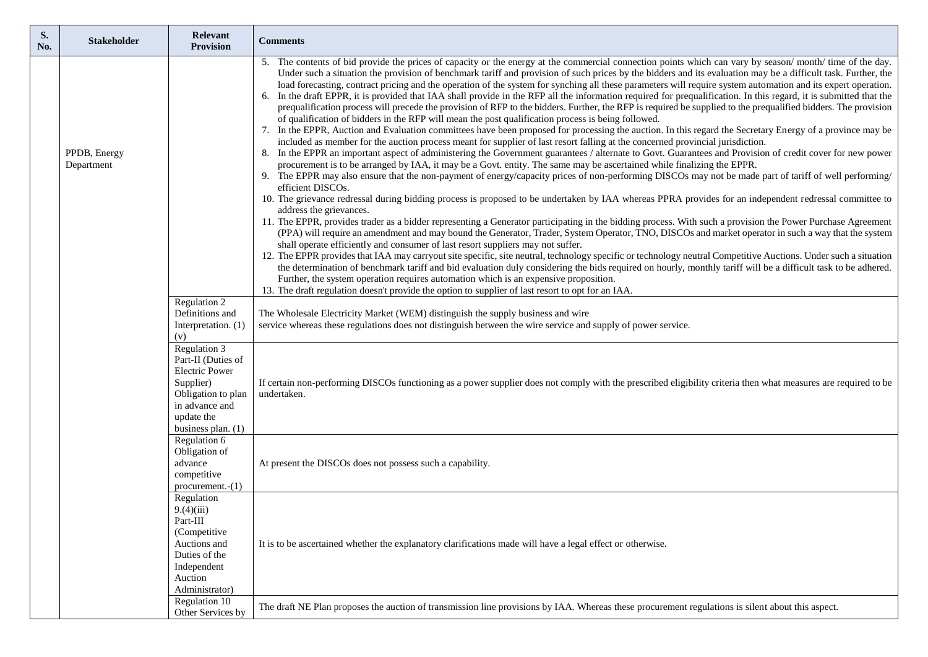| S.<br>No. | <b>Stakeholder</b>         | Relevant<br><b>Provision</b>                                                                                                                                                         | <b>Comments</b>                                                                                                                                                                                                                                                                                                                                                                                                                                                                                                                                                                                                                                                                                                                                                                                                                                                                                                                                                                                                                                                                                                                                                                                                                                                                                                                                                                                                                                                                                                                                                                                                                                                                                                                                                                                                                                                                                                                                                                                                                                                                                                                                                                                                                                                                                                                                                                                                                                                                                                                                                                                                                                                                                                                                                                                                                                                                                                                 |
|-----------|----------------------------|--------------------------------------------------------------------------------------------------------------------------------------------------------------------------------------|---------------------------------------------------------------------------------------------------------------------------------------------------------------------------------------------------------------------------------------------------------------------------------------------------------------------------------------------------------------------------------------------------------------------------------------------------------------------------------------------------------------------------------------------------------------------------------------------------------------------------------------------------------------------------------------------------------------------------------------------------------------------------------------------------------------------------------------------------------------------------------------------------------------------------------------------------------------------------------------------------------------------------------------------------------------------------------------------------------------------------------------------------------------------------------------------------------------------------------------------------------------------------------------------------------------------------------------------------------------------------------------------------------------------------------------------------------------------------------------------------------------------------------------------------------------------------------------------------------------------------------------------------------------------------------------------------------------------------------------------------------------------------------------------------------------------------------------------------------------------------------------------------------------------------------------------------------------------------------------------------------------------------------------------------------------------------------------------------------------------------------------------------------------------------------------------------------------------------------------------------------------------------------------------------------------------------------------------------------------------------------------------------------------------------------------------------------------------------------------------------------------------------------------------------------------------------------------------------------------------------------------------------------------------------------------------------------------------------------------------------------------------------------------------------------------------------------------------------------------------------------------------------------------------------------|
|           | PPDB, Energy<br>Department | Regulation 2<br>Definitions and                                                                                                                                                      | 5. The contents of bid provide the prices of capacity or the energy at the commercial connection points which can vary by season/month/ time of the day.<br>Under such a situation the provision of benchmark tariff and provision of such prices by the bidders and its evaluation may be a difficult task. Further, the<br>load forecasting, contract pricing and the operation of the system for synching all these parameters will require system automation and its expert operation.<br>6. In the draft EPPR, it is provided that IAA shall provide in the RFP all the information required for prequalification. In this regard, it is submitted that the<br>prequalification process will precede the provision of RFP to the bidders. Further, the RFP is required be supplied to the prequalified bidders. The provision<br>of qualification of bidders in the RFP will mean the post qualification process is being followed.<br>7. In the EPPR, Auction and Evaluation committees have been proposed for processing the auction. In this regard the Secretary Energy of a province may be<br>included as member for the auction process meant for supplier of last resort falling at the concerned provincial jurisdiction.<br>8. In the EPPR an important aspect of administering the Government guarantees / alternate to Govt. Guarantees and Provision of credit cover for new power<br>procurement is to be arranged by IAA, it may be a Govt. entity. The same may be ascertained while finalizing the EPPR.<br>9. The EPPR may also ensure that the non-payment of energy/capacity prices of non-performing DISCOs may not be made part of tariff of well performing/<br>efficient DISCOs.<br>10. The grievance redressal during bidding process is proposed to be undertaken by IAA whereas PPRA provides for an independent redressal committee to<br>address the grievances.<br>11. The EPPR, provides trader as a bidder representing a Generator participating in the bidding process. With such a provision the Power Purchase Agreement<br>(PPA) will require an amendment and may bound the Generator, Trader, System Operator, TNO, DISCOs and market operator in such a way that the system<br>shall operate efficiently and consumer of last resort suppliers may not suffer.<br>12. The EPPR provides that IAA may carryout site specific, site neutral, technology specific or technology neutral Competitive Auctions. Under such a situation<br>the determination of benchmark tariff and bid evaluation duly considering the bids required on hourly, monthly tariff will be a difficult task to be adhered.<br>Further, the system operation requires automation which is an expensive proposition.<br>13. The draft regulation doesn't provide the option to supplier of last resort to opt for an IAA.<br>The Wholesale Electricity Market (WEM) distinguish the supply business and wire |
|           |                            | Interpretation. (1)<br>(v)<br>Regulation 3<br>Part-II (Duties of<br><b>Electric Power</b><br>Supplier)<br>Obligation to plan<br>in advance and<br>update the<br>business plan. $(1)$ | service whereas these regulations does not distinguish between the wire service and supply of power service.<br>If certain non-performing DISCOs functioning as a power supplier does not comply with the prescribed eligibility criteria then what measures are required to be<br>undertaken.                                                                                                                                                                                                                                                                                                                                                                                                                                                                                                                                                                                                                                                                                                                                                                                                                                                                                                                                                                                                                                                                                                                                                                                                                                                                                                                                                                                                                                                                                                                                                                                                                                                                                                                                                                                                                                                                                                                                                                                                                                                                                                                                                                                                                                                                                                                                                                                                                                                                                                                                                                                                                                  |
|           |                            | Regulation 6<br>Obligation of<br>advance<br>competitive<br>$procurrent-(1)$                                                                                                          | At present the DISCOs does not possess such a capability.                                                                                                                                                                                                                                                                                                                                                                                                                                                                                                                                                                                                                                                                                                                                                                                                                                                                                                                                                                                                                                                                                                                                                                                                                                                                                                                                                                                                                                                                                                                                                                                                                                                                                                                                                                                                                                                                                                                                                                                                                                                                                                                                                                                                                                                                                                                                                                                                                                                                                                                                                                                                                                                                                                                                                                                                                                                                       |
|           |                            | Regulation<br>9.4)(iii)<br>Part-III<br>(Competitive<br>Auctions and<br>Duties of the<br>Independent<br>Auction<br>Administrator)                                                     | It is to be ascertained whether the explanatory clarifications made will have a legal effect or otherwise.                                                                                                                                                                                                                                                                                                                                                                                                                                                                                                                                                                                                                                                                                                                                                                                                                                                                                                                                                                                                                                                                                                                                                                                                                                                                                                                                                                                                                                                                                                                                                                                                                                                                                                                                                                                                                                                                                                                                                                                                                                                                                                                                                                                                                                                                                                                                                                                                                                                                                                                                                                                                                                                                                                                                                                                                                      |
|           |                            | Regulation 10<br>Other Services by                                                                                                                                                   | The draft NE Plan proposes the auction of transmission line provisions by IAA. Whereas these procurement regulations is silent about this aspect.                                                                                                                                                                                                                                                                                                                                                                                                                                                                                                                                                                                                                                                                                                                                                                                                                                                                                                                                                                                                                                                                                                                                                                                                                                                                                                                                                                                                                                                                                                                                                                                                                                                                                                                                                                                                                                                                                                                                                                                                                                                                                                                                                                                                                                                                                                                                                                                                                                                                                                                                                                                                                                                                                                                                                                               |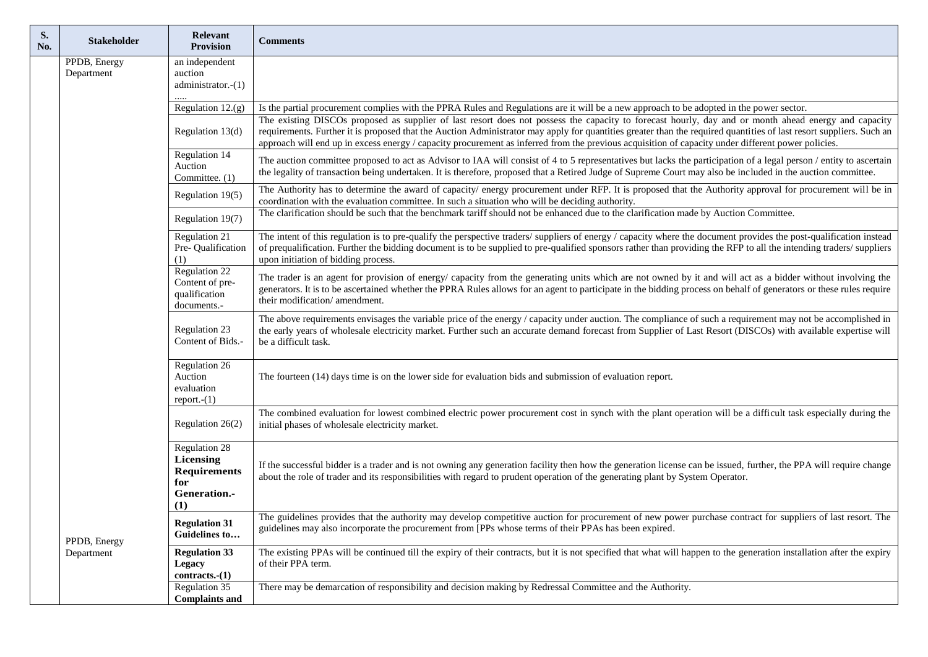| S.<br>No. | <b>Stakeholder</b>                                       | Relevant<br><b>Provision</b>                                                    | <b>Comments</b>                                                                                                                                                                                                                                                                                                                                                                                                                                                                   |
|-----------|----------------------------------------------------------|---------------------------------------------------------------------------------|-----------------------------------------------------------------------------------------------------------------------------------------------------------------------------------------------------------------------------------------------------------------------------------------------------------------------------------------------------------------------------------------------------------------------------------------------------------------------------------|
|           | PPDB, Energy<br>Department<br>PPDB, Energy<br>Department | an independent<br>auction<br>administrator.-(1)                                 |                                                                                                                                                                                                                                                                                                                                                                                                                                                                                   |
|           |                                                          | Regulation 12.(g)                                                               | Is the partial procurement complies with the PPRA Rules and Regulations are it will be a new approach to be adopted in the power sector.                                                                                                                                                                                                                                                                                                                                          |
|           |                                                          | Regulation 13(d)                                                                | The existing DISCOs proposed as supplier of last resort does not possess the capacity to forecast hourly, day and or month ahead energy and capacity<br>requirements. Further it is proposed that the Auction Administrator may apply for quantities greater than the required quantities of last resort suppliers. Such an<br>approach will end up in excess energy / capacity procurement as inferred from the previous acquisition of capacity under different power policies. |
|           |                                                          | Regulation 14<br>Auction<br>Committee. (1)                                      | The auction committee proposed to act as Advisor to IAA will consist of 4 to 5 representatives but lacks the participation of a legal person / entity to ascertain<br>the legality of transaction being undertaken. It is therefore, proposed that a Retired Judge of Supreme Court may also be included in the auction committee.                                                                                                                                                |
|           |                                                          | Regulation 19(5)                                                                | The Authority has to determine the award of capacity/energy procurement under RFP. It is proposed that the Authority approval for procurement will be in<br>coordination with the evaluation committee. In such a situation who will be deciding authority.                                                                                                                                                                                                                       |
|           |                                                          | Regulation 19(7)                                                                | The clarification should be such that the benchmark tariff should not be enhanced due to the clarification made by Auction Committee.                                                                                                                                                                                                                                                                                                                                             |
|           |                                                          | <b>Regulation 21</b><br>Pre- Qualification<br>(1)                               | The intent of this regulation is to pre-qualify the perspective traders/ suppliers of energy / capacity where the document provides the post-qualification instead<br>of prequalification. Further the bidding document is to be supplied to pre-qualified sponsors rather than providing the RFP to all the intending traders/suppliers<br>upon initiation of bidding process.                                                                                                   |
|           |                                                          | Regulation 22<br>Content of pre-<br>qualification<br>documents.-                | The trader is an agent for provision of energy/ capacity from the generating units which are not owned by it and will act as a bidder without involving the<br>generators. It is to be ascertained whether the PPRA Rules allows for an agent to participate in the bidding process on behalf of generators or these rules require<br>their modification/amendment.                                                                                                               |
|           |                                                          | <b>Regulation 23</b><br>Content of Bids.                                        | The above requirements envisages the variable price of the energy / capacity under auction. The compliance of such a requirement may not be accomplished in<br>the early years of wholesale electricity market. Further such an accurate demand forecast from Supplier of Last Resort (DISCOs) with available expertise will<br>be a difficult task.                                                                                                                              |
|           |                                                          | Regulation 26<br>Auction<br>evaluation<br>$report.-(1)$                         | The fourteen (14) days time is on the lower side for evaluation bids and submission of evaluation report.                                                                                                                                                                                                                                                                                                                                                                         |
|           |                                                          | Regulation 26(2)                                                                | The combined evaluation for lowest combined electric power procurement cost in synch with the plant operation will be a difficult task especially during the<br>initial phases of wholesale electricity market.                                                                                                                                                                                                                                                                   |
|           |                                                          | Regulation 28<br>Licensing<br><b>Requirements</b><br>for<br>Generation.-<br>(1) | If the successful bidder is a trader and is not owning any generation facility then how the generation license can be issued, further, the PPA will require change<br>about the role of trader and its responsibilities with regard to prudent operation of the generating plant by System Operator.                                                                                                                                                                              |
|           |                                                          | <b>Regulation 31</b><br>Guidelines to                                           | The guidelines provides that the authority may develop competitive auction for procurement of new power purchase contract for suppliers of last resort. The<br>guidelines may also incorporate the procurement from [PPs whose terms of their PPAs has been expired.                                                                                                                                                                                                              |
|           |                                                          | <b>Regulation 33</b><br><b>Legacy</b><br>$contracts.-(1)$                       | The existing PPAs will be continued till the expiry of their contracts, but it is not specified that what will happen to the generation installation after the expiry<br>of their PPA term.                                                                                                                                                                                                                                                                                       |
|           |                                                          | Regulation 35<br><b>Complaints and</b>                                          | There may be demarcation of responsibility and decision making by Redressal Committee and the Authority.                                                                                                                                                                                                                                                                                                                                                                          |